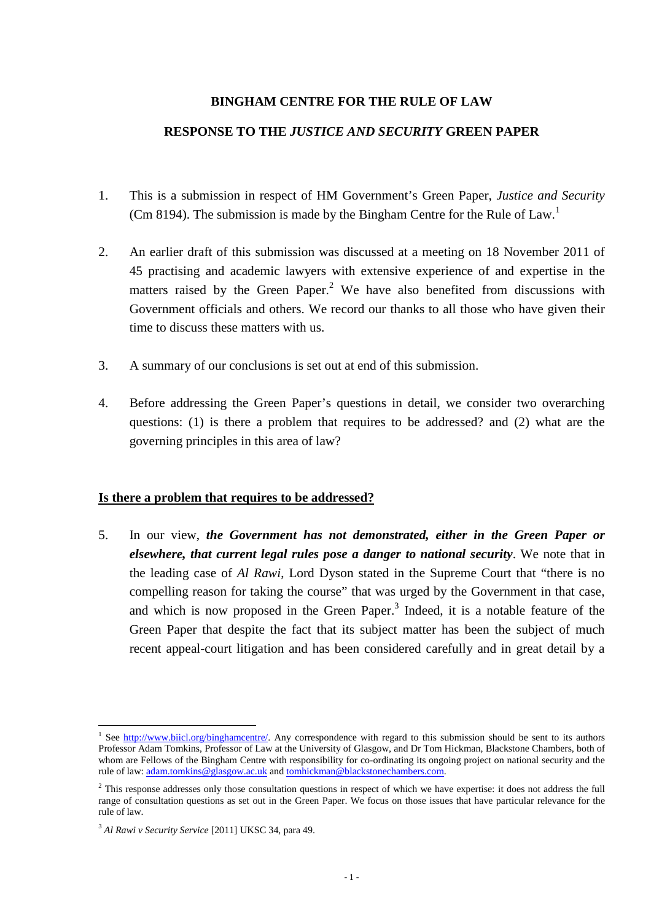#### **BINGHAM CENTRE FOR THE RULE OF LAW**

### **RESPONSE TO THE** *JUSTICE AND SECURITY* **GREEN PAPER**

- 1. This is a submission in respect of HM Government's Green Paper, *Justice and Security* (Cm 8194). The submission is made by the Bingham Centre for the Rule of Law.<sup>1</sup>
- 2. An earlier draft of this submission was discussed at a meeting on 18 November 2011 of 45 practising and academic lawyers with extensive experience of and expertise in the matters raised by the Green Paper.<sup>2</sup> We have also benefited from discussions with Government officials and others. We record our thanks to all those who have given their time to discuss these matters with us.
- 3. A summary of our conclusions is set out at end of this submission.
- 4. Before addressing the Green Paper's questions in detail, we consider two overarching questions: (1) is there a problem that requires to be addressed? and (2) what are the governing principles in this area of law?

#### **Is there a problem that requires to be addressed?**

5. In our view, *the Government has not demonstrated, either in the Green Paper or elsewhere, that current legal rules pose a danger to national security*. We note that in the leading case of *Al Rawi*, Lord Dyson stated in the Supreme Court that "there is no compelling reason for taking the course" that was urged by the Government in that case, and which is now proposed in the Green Paper. $3$  Indeed, it is a notable feature of the Green Paper that despite the fact that its subject matter has been the subject of much recent appeal-court litigation and has been considered carefully and in great detail by a

<sup>&</sup>lt;sup>1</sup> See http://www.biicl.org/binghamcentre/. Any correspondence with regard to this submission should be sent to its authors Professor Adam Tomkins, Professor of Law at the University of Glasgow, and Dr Tom Hickman, Blackstone Chambers, both of whom are Fellows of the Bingham Centre with responsibility for co-ordinating its ongoing project on national security and the rule of law: adam.tomkins@glasgow.ac.uk and tomhickman@blackstonechambers.com.

<sup>&</sup>lt;sup>2</sup> This response addresses only those consultation questions in respect of which we have expertise: it does not address the full range of consultation questions as set out in the Green Paper. We focus on those issues that have particular relevance for the rule of law.

<sup>3</sup> *Al Rawi v Security Service* [2011] UKSC 34, para 49.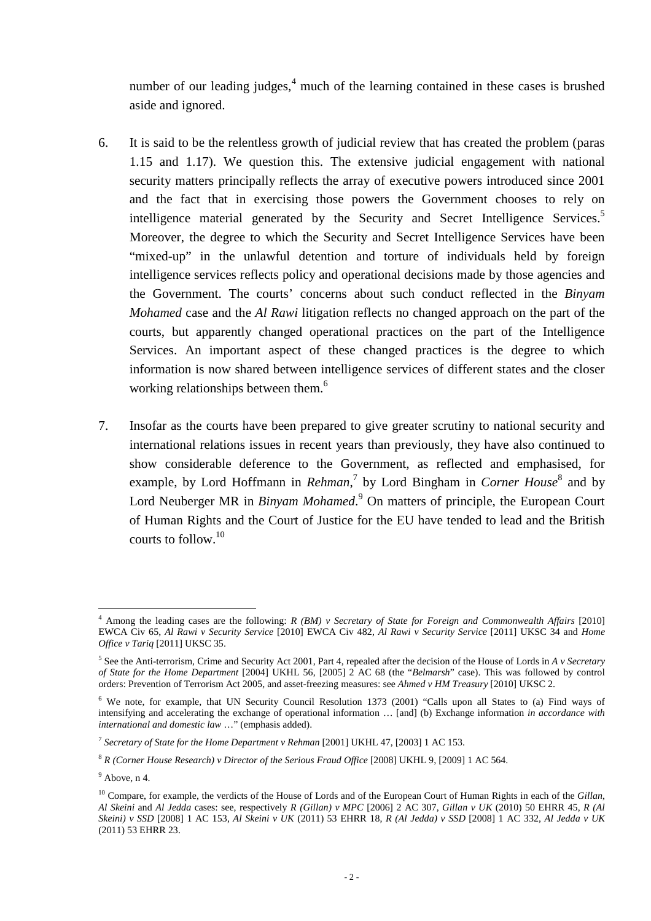number of our leading judges, $<sup>4</sup>$  much of the learning contained in these cases is brushed</sup> aside and ignored.

- 6. It is said to be the relentless growth of judicial review that has created the problem (paras 1.15 and 1.17). We question this. The extensive judicial engagement with national security matters principally reflects the array of executive powers introduced since 2001 and the fact that in exercising those powers the Government chooses to rely on intelligence material generated by the Security and Secret Intelligence Services.<sup>5</sup> Moreover, the degree to which the Security and Secret Intelligence Services have been "mixed-up" in the unlawful detention and torture of individuals held by foreign intelligence services reflects policy and operational decisions made by those agencies and the Government. The courts' concerns about such conduct reflected in the *Binyam Mohamed* case and the *Al Rawi* litigation reflects no changed approach on the part of the courts, but apparently changed operational practices on the part of the Intelligence Services. An important aspect of these changed practices is the degree to which information is now shared between intelligence services of different states and the closer working relationships between them.<sup>6</sup>
- 7. Insofar as the courts have been prepared to give greater scrutiny to national security and international relations issues in recent years than previously, they have also continued to show considerable deference to the Government, as reflected and emphasised, for example, by Lord Hoffmann in *Rehman*,<sup>7</sup> by Lord Bingham in *Corner House*<sup>8</sup> and by Lord Neuberger MR in *Binyam Mohamed*.<sup>9</sup> On matters of principle, the European Court of Human Rights and the Court of Justice for the EU have tended to lead and the British courts to follow.<sup>10</sup>

<sup>4</sup> Among the leading cases are the following: *R (BM) v Secretary of State for Foreign and Commonwealth Affairs* [2010] EWCA Civ 65, *Al Rawi v Security Service* [2010] EWCA Civ 482, *Al Rawi v Security Service* [2011] UKSC 34 and *Home Office v Tariq* [2011] UKSC 35.

<sup>5</sup> See the Anti-terrorism, Crime and Security Act 2001, Part 4, repealed after the decision of the House of Lords in *A v Secretary of State for the Home Department* [2004] UKHL 56, [2005] 2 AC 68 (the "*Belmarsh*" case). This was followed by control orders: Prevention of Terrorism Act 2005, and asset-freezing measures: see *Ahmed v HM Treasury* [2010] UKSC 2.

<sup>&</sup>lt;sup>6</sup> We note, for example, that UN Security Council Resolution 1373 (2001) "Calls upon all States to (a) Find ways of intensifying and accelerating the exchange of operational information … [and] (b) Exchange information *in accordance with international and domestic law* …" (emphasis added).

<sup>7</sup> *Secretary of State for the Home Department v Rehman* [2001] UKHL 47, [2003] 1 AC 153.

<sup>8</sup> *R (Corner House Research) v Director of the Serious Fraud Office* [2008] UKHL 9, [2009] 1 AC 564.

 $<sup>9</sup>$  Above, n 4.</sup>

<sup>10</sup> Compare, for example, the verdicts of the House of Lords and of the European Court of Human Rights in each of the *Gillan*, *Al Skeini* and *Al Jedda* cases: see, respectively *R (Gillan) v MPC* [2006] 2 AC 307, *Gillan v UK* (2010) 50 EHRR 45, *R (Al Skeini) v SSD* [2008] 1 AC 153, *Al Skeini v UK* (2011) 53 EHRR 18, *R (Al Jedda) v SSD* [2008] 1 AC 332, *Al Jedda v UK* (2011) 53 EHRR 23.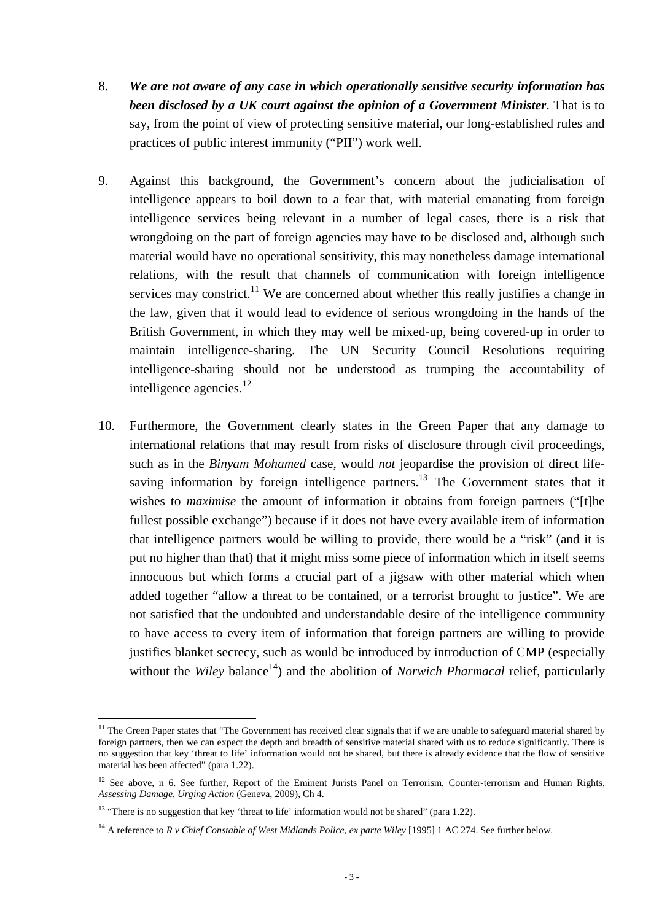- 8. *We are not aware of any case in which operationally sensitive security information has been disclosed by a UK court against the opinion of a Government Minister*. That is to say, from the point of view of protecting sensitive material, our long-established rules and practices of public interest immunity ("PII") work well.
- 9. Against this background, the Government's concern about the judicialisation of intelligence appears to boil down to a fear that, with material emanating from foreign intelligence services being relevant in a number of legal cases, there is a risk that wrongdoing on the part of foreign agencies may have to be disclosed and, although such material would have no operational sensitivity, this may nonetheless damage international relations, with the result that channels of communication with foreign intelligence services may constrict.<sup>11</sup> We are concerned about whether this really justifies a change in the law, given that it would lead to evidence of serious wrongdoing in the hands of the British Government, in which they may well be mixed-up, being covered-up in order to maintain intelligence-sharing. The UN Security Council Resolutions requiring intelligence-sharing should not be understood as trumping the accountability of intelligence agencies. $^{12}$
- 10. Furthermore, the Government clearly states in the Green Paper that any damage to international relations that may result from risks of disclosure through civil proceedings, such as in the *Binyam Mohamed* case, would *not* jeopardise the provision of direct lifesaving information by foreign intelligence partners.<sup>13</sup> The Government states that it wishes to *maximise* the amount of information it obtains from foreign partners ("[t]he fullest possible exchange") because if it does not have every available item of information that intelligence partners would be willing to provide, there would be a "risk" (and it is put no higher than that) that it might miss some piece of information which in itself seems innocuous but which forms a crucial part of a jigsaw with other material which when added together "allow a threat to be contained, or a terrorist brought to justice". We are not satisfied that the undoubted and understandable desire of the intelligence community to have access to every item of information that foreign partners are willing to provide justifies blanket secrecy, such as would be introduced by introduction of CMP (especially without the *Wiley* balance<sup>14</sup>) and the abolition of *Norwich Pharmacal* relief, particularly

 $\overline{a}$  $11$  The Green Paper states that "The Government has received clear signals that if we are unable to safeguard material shared by foreign partners, then we can expect the depth and breadth of sensitive material shared with us to reduce significantly. There is no suggestion that key 'threat to life' information would not be shared, but there is already evidence that the flow of sensitive material has been affected" (para 1.22).

<sup>&</sup>lt;sup>12</sup> See above, n 6. See further, Report of the Eminent Jurists Panel on Terrorism, Counter-terrorism and Human Rights, *Assessing Damage, Urging Action* (Geneva, 2009), Ch 4.

<sup>&</sup>lt;sup>13</sup> "There is no suggestion that key 'threat to life' information would not be shared" (para 1.22).

<sup>&</sup>lt;sup>14</sup> A reference to *R v Chief Constable of West Midlands Police, ex parte Wiley* [1995] 1 AC 274. See further below.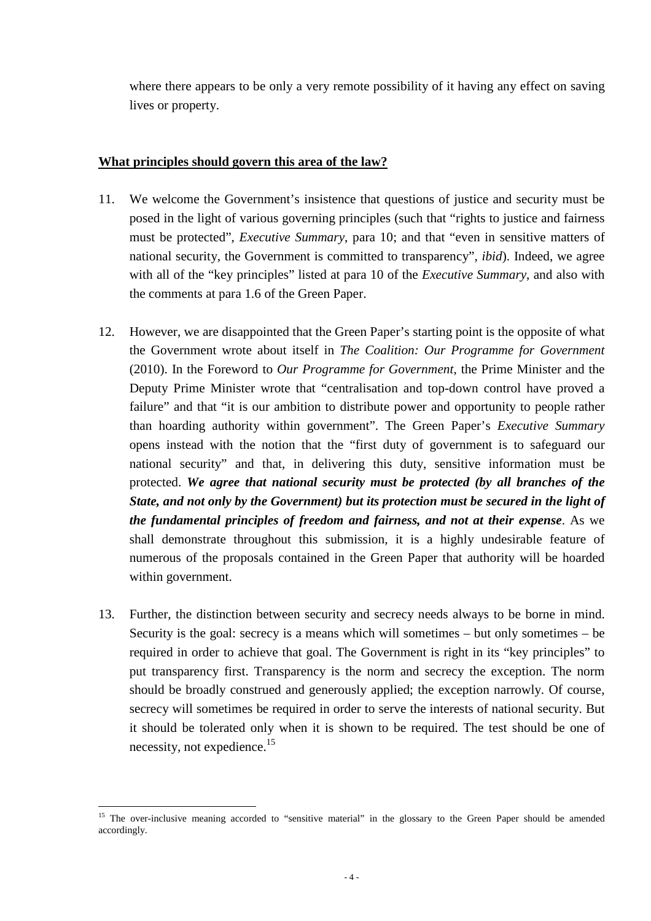where there appears to be only a very remote possibility of it having any effect on saving lives or property.

### **What principles should govern this area of the law?**

- 11. We welcome the Government's insistence that questions of justice and security must be posed in the light of various governing principles (such that "rights to justice and fairness must be protected", *Executive Summary*, para 10; and that "even in sensitive matters of national security, the Government is committed to transparency", *ibid*). Indeed, we agree with all of the "key principles" listed at para 10 of the *Executive Summary*, and also with the comments at para 1.6 of the Green Paper.
- 12. However, we are disappointed that the Green Paper's starting point is the opposite of what the Government wrote about itself in *The Coalition: Our Programme for Government* (2010). In the Foreword to *Our Programme for Government*, the Prime Minister and the Deputy Prime Minister wrote that "centralisation and top-down control have proved a failure" and that "it is our ambition to distribute power and opportunity to people rather than hoarding authority within government". The Green Paper's *Executive Summary* opens instead with the notion that the "first duty of government is to safeguard our national security" and that, in delivering this duty, sensitive information must be protected. *We agree that national security must be protected (by all branches of the State, and not only by the Government) but its protection must be secured in the light of the fundamental principles of freedom and fairness, and not at their expense*. As we shall demonstrate throughout this submission, it is a highly undesirable feature of numerous of the proposals contained in the Green Paper that authority will be hoarded within government.
- 13. Further, the distinction between security and secrecy needs always to be borne in mind. Security is the goal: secrecy is a means which will sometimes – but only sometimes – be required in order to achieve that goal. The Government is right in its "key principles" to put transparency first. Transparency is the norm and secrecy the exception. The norm should be broadly construed and generously applied; the exception narrowly. Of course, secrecy will sometimes be required in order to serve the interests of national security. But it should be tolerated only when it is shown to be required. The test should be one of necessity, not expedience.<sup>15</sup>

 $\overline{a}$ <sup>15</sup> The over-inclusive meaning accorded to "sensitive material" in the glossary to the Green Paper should be amended accordingly.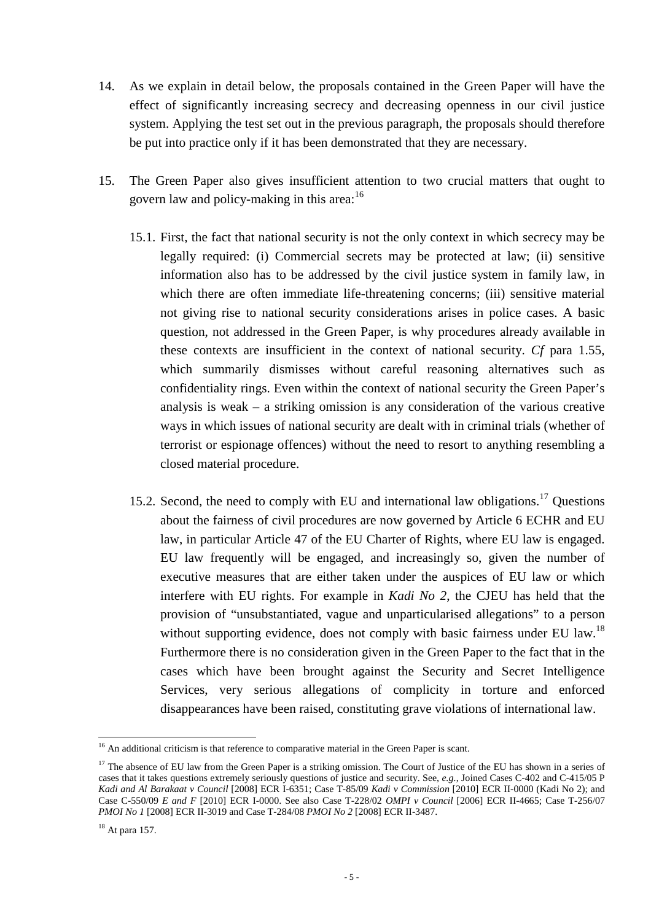- 14. As we explain in detail below, the proposals contained in the Green Paper will have the effect of significantly increasing secrecy and decreasing openness in our civil justice system. Applying the test set out in the previous paragraph, the proposals should therefore be put into practice only if it has been demonstrated that they are necessary.
- 15. The Green Paper also gives insufficient attention to two crucial matters that ought to govern law and policy-making in this area:<sup>16</sup>
	- 15.1. First, the fact that national security is not the only context in which secrecy may be legally required: (i) Commercial secrets may be protected at law; (ii) sensitive information also has to be addressed by the civil justice system in family law, in which there are often immediate life-threatening concerns; (iii) sensitive material not giving rise to national security considerations arises in police cases. A basic question, not addressed in the Green Paper, is why procedures already available in these contexts are insufficient in the context of national security. *Cf* para 1.55, which summarily dismisses without careful reasoning alternatives such as confidentiality rings. Even within the context of national security the Green Paper's analysis is weak – a striking omission is any consideration of the various creative ways in which issues of national security are dealt with in criminal trials (whether of terrorist or espionage offences) without the need to resort to anything resembling a closed material procedure.
	- 15.2. Second, the need to comply with EU and international law obligations.<sup>17</sup> Questions about the fairness of civil procedures are now governed by Article 6 ECHR and EU law, in particular Article 47 of the EU Charter of Rights, where EU law is engaged. EU law frequently will be engaged, and increasingly so, given the number of executive measures that are either taken under the auspices of EU law or which interfere with EU rights. For example in *Kadi No 2*, the CJEU has held that the provision of "unsubstantiated, vague and unparticularised allegations" to a person without supporting evidence, does not comply with basic fairness under EU law.<sup>18</sup> Furthermore there is no consideration given in the Green Paper to the fact that in the cases which have been brought against the Security and Secret Intelligence Services, very serious allegations of complicity in torture and enforced disappearances have been raised, constituting grave violations of international law.

<sup>&</sup>lt;sup>16</sup> An additional criticism is that reference to comparative material in the Green Paper is scant.

<sup>&</sup>lt;sup>17</sup> The absence of EU law from the Green Paper is a striking omission. The Court of Justice of the EU has shown in a series of cases that it takes questions extremely seriously questions of justice and security. See, *e.g.*, Joined Cases C-402 and C-415/05 P *Kadi and Al Barakaat v Council* [2008] ECR I-6351; Case T-85/09 *Kadi v Commission* [2010] ECR II-0000 (Kadi No 2); and Case C-550/09 *E and F* [2010] ECR I-0000. See also Case T-228/02 *OMPI v Council* [2006] ECR II-4665; Case T-256/07 *PMOI No 1* [2008] ECR II-3019 and Case T-284/08 *PMOI No 2* [2008] ECR II-3487.

 $18$  At para 157.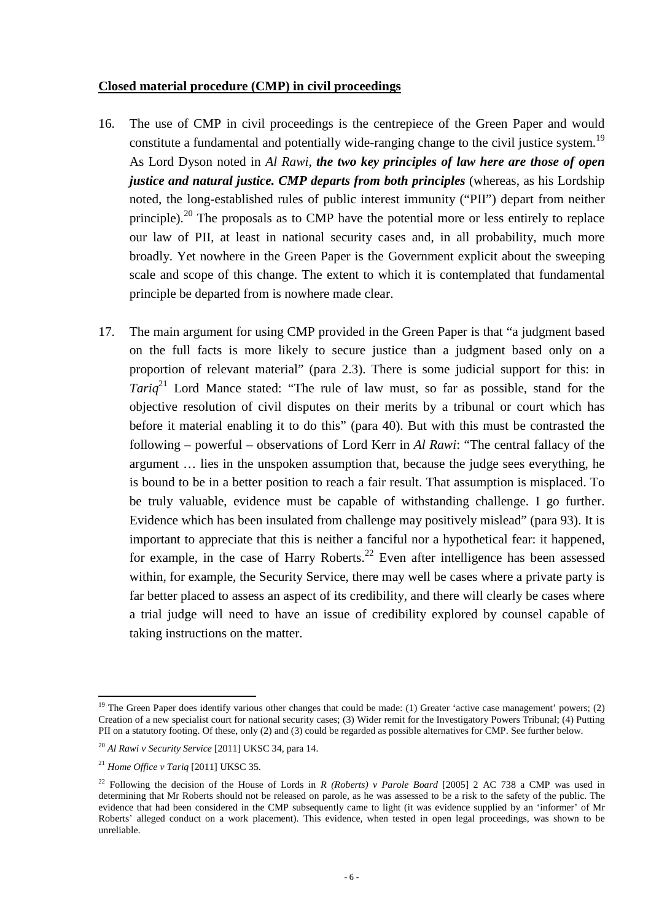#### **Closed material procedure (CMP) in civil proceedings**

- 16. The use of CMP in civil proceedings is the centrepiece of the Green Paper and would constitute a fundamental and potentially wide-ranging change to the civil justice system.<sup>19</sup> As Lord Dyson noted in *Al Rawi*, *the two key principles of law here are those of open justice and natural justice. CMP departs from both principles* (whereas, as his Lordship noted, the long-established rules of public interest immunity ("PII") depart from neither principle).<sup>20</sup> The proposals as to CMP have the potential more or less entirely to replace our law of PII, at least in national security cases and, in all probability, much more broadly. Yet nowhere in the Green Paper is the Government explicit about the sweeping scale and scope of this change. The extent to which it is contemplated that fundamental principle be departed from is nowhere made clear.
- 17. The main argument for using CMP provided in the Green Paper is that "a judgment based on the full facts is more likely to secure justice than a judgment based only on a proportion of relevant material" (para 2.3). There is some judicial support for this: in *Tariq*<sup>21</sup> Lord Mance stated: "The rule of law must, so far as possible, stand for the objective resolution of civil disputes on their merits by a tribunal or court which has before it material enabling it to do this" (para 40). But with this must be contrasted the following – powerful – observations of Lord Kerr in *Al Rawi*: "The central fallacy of the argument … lies in the unspoken assumption that, because the judge sees everything, he is bound to be in a better position to reach a fair result. That assumption is misplaced. To be truly valuable, evidence must be capable of withstanding challenge. I go further. Evidence which has been insulated from challenge may positively mislead" (para 93). It is important to appreciate that this is neither a fanciful nor a hypothetical fear: it happened, for example, in the case of Harry Roberts.<sup>22</sup> Even after intelligence has been assessed within, for example, the Security Service, there may well be cases where a private party is far better placed to assess an aspect of its credibility, and there will clearly be cases where a trial judge will need to have an issue of credibility explored by counsel capable of taking instructions on the matter.

<sup>&</sup>lt;sup>19</sup> The Green Paper does identify various other changes that could be made: (1) Greater 'active case management' powers; (2) Creation of a new specialist court for national security cases; (3) Wider remit for the Investigatory Powers Tribunal; (4) Putting PII on a statutory footing. Of these, only (2) and (3) could be regarded as possible alternatives for CMP. See further below.

<sup>20</sup> *Al Rawi v Security Service* [2011] UKSC 34, para 14.

<sup>21</sup> *Home Office v Tariq* [2011] UKSC 35.

<sup>22</sup> Following the decision of the House of Lords in *R (Roberts) v Parole Board* [2005] 2 AC 738 a CMP was used in determining that Mr Roberts should not be released on parole, as he was assessed to be a risk to the safety of the public. The evidence that had been considered in the CMP subsequently came to light (it was evidence supplied by an 'informer' of Mr Roberts' alleged conduct on a work placement). This evidence, when tested in open legal proceedings, was shown to be unreliable.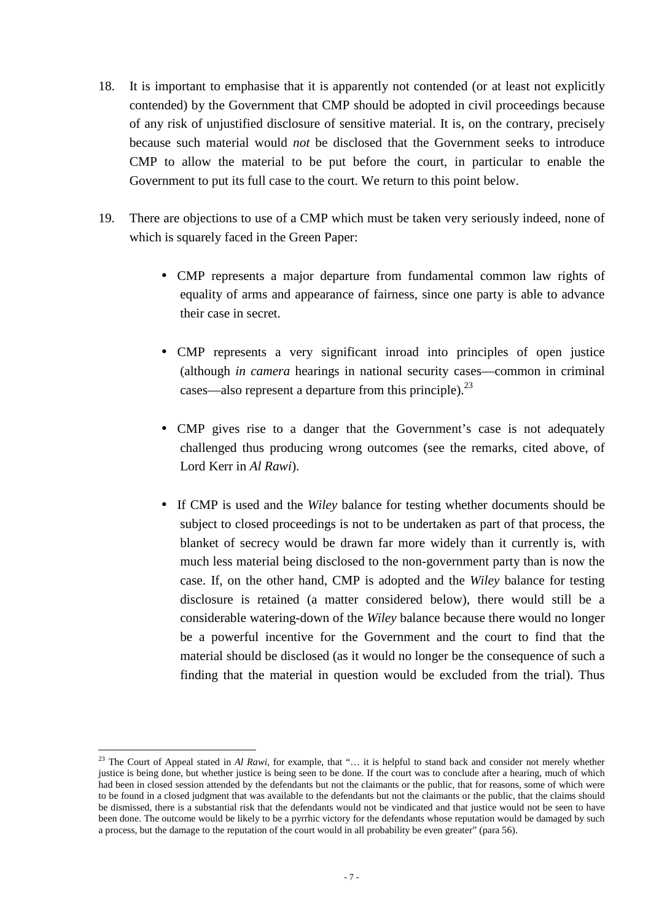- 18. It is important to emphasise that it is apparently not contended (or at least not explicitly contended) by the Government that CMP should be adopted in civil proceedings because of any risk of unjustified disclosure of sensitive material. It is, on the contrary, precisely because such material would *not* be disclosed that the Government seeks to introduce CMP to allow the material to be put before the court, in particular to enable the Government to put its full case to the court. We return to this point below.
- 19. There are objections to use of a CMP which must be taken very seriously indeed, none of which is squarely faced in the Green Paper:
	- CMP represents a major departure from fundamental common law rights of equality of arms and appearance of fairness, since one party is able to advance their case in secret.
	- CMP represents a very significant inroad into principles of open justice (although *in camera* hearings in national security cases—common in criminal cases—also represent a departure from this principle). $^{23}$
	- CMP gives rise to a danger that the Government's case is not adequately challenged thus producing wrong outcomes (see the remarks, cited above, of Lord Kerr in *Al Rawi*).
	- If CMP is used and the *Wiley* balance for testing whether documents should be subject to closed proceedings is not to be undertaken as part of that process, the blanket of secrecy would be drawn far more widely than it currently is, with much less material being disclosed to the non-government party than is now the case. If, on the other hand, CMP is adopted and the *Wiley* balance for testing disclosure is retained (a matter considered below), there would still be a considerable watering-down of the *Wiley* balance because there would no longer be a powerful incentive for the Government and the court to find that the material should be disclosed (as it would no longer be the consequence of such a finding that the material in question would be excluded from the trial). Thus

<sup>&</sup>lt;sup>23</sup> The Court of Appeal stated in *Al Rawi*, for example, that "... it is helpful to stand back and consider not merely whether justice is being done, but whether justice is being seen to be done. If the court was to conclude after a hearing, much of which had been in closed session attended by the defendants but not the claimants or the public, that for reasons, some of which were to be found in a closed judgment that was available to the defendants but not the claimants or the public, that the claims should be dismissed, there is a substantial risk that the defendants would not be vindicated and that justice would not be seen to have been done. The outcome would be likely to be a pyrrhic victory for the defendants whose reputation would be damaged by such a process, but the damage to the reputation of the court would in all probability be even greater" (para 56).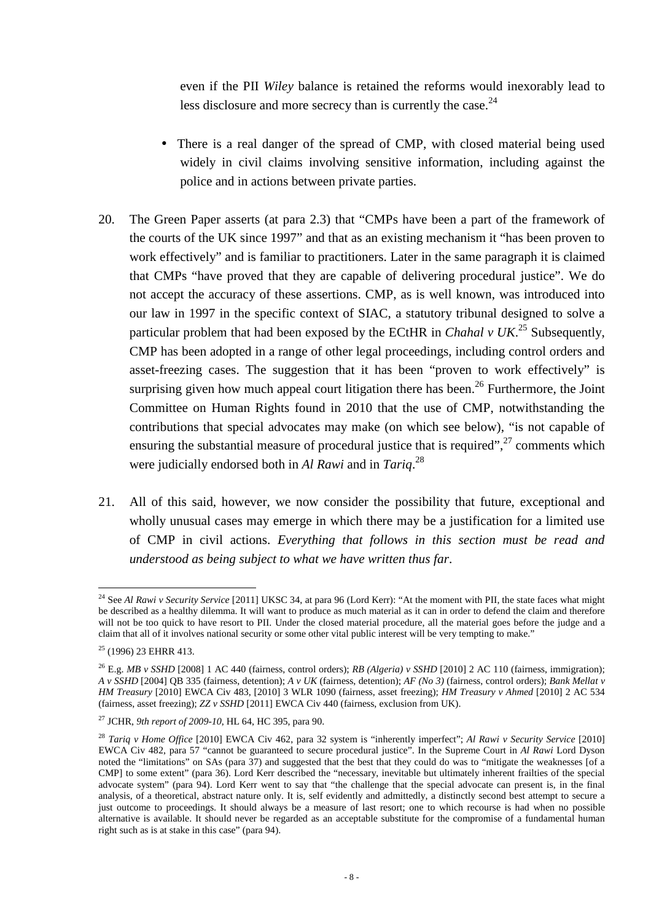even if the PII *Wiley* balance is retained the reforms would inexorably lead to less disclosure and more secrecy than is currently the case. $24$ 

- There is a real danger of the spread of CMP, with closed material being used widely in civil claims involving sensitive information, including against the police and in actions between private parties.
- 20. The Green Paper asserts (at para 2.3) that "CMPs have been a part of the framework of the courts of the UK since 1997" and that as an existing mechanism it "has been proven to work effectively" and is familiar to practitioners. Later in the same paragraph it is claimed that CMPs "have proved that they are capable of delivering procedural justice". We do not accept the accuracy of these assertions. CMP, as is well known, was introduced into our law in 1997 in the specific context of SIAC, a statutory tribunal designed to solve a particular problem that had been exposed by the ECtHR in *Chahal v UK*. <sup>25</sup> Subsequently, CMP has been adopted in a range of other legal proceedings, including control orders and asset-freezing cases. The suggestion that it has been "proven to work effectively" is surprising given how much appeal court litigation there has been.<sup>26</sup> Furthermore, the Joint Committee on Human Rights found in 2010 that the use of CMP, notwithstanding the contributions that special advocates may make (on which see below), "is not capable of ensuring the substantial measure of procedural justice that is required", $^{27}$  comments which were judicially endorsed both in *Al Rawi* and in *Tariq*. 28
- 21. All of this said, however, we now consider the possibility that future, exceptional and wholly unusual cases may emerge in which there may be a justification for a limited use of CMP in civil actions. *Everything that follows in this section must be read and understood as being subject to what we have written thus far*.

 $\overline{a}$ <sup>24</sup> See *Al Rawi v Security Service* [2011] UKSC 34, at para 96 (Lord Kerr): "At the moment with PII, the state faces what might be described as a healthy dilemma. It will want to produce as much material as it can in order to defend the claim and therefore will not be too quick to have resort to PII. Under the closed material procedure, all the material goes before the judge and a claim that all of it involves national security or some other vital public interest will be very tempting to make."

<sup>&</sup>lt;sup>25</sup> (1996) 23 EHRR 413.

<sup>26</sup> E.g. *MB v SSHD* [2008] 1 AC 440 (fairness, control orders); *RB (Algeria) v SSHD* [2010] 2 AC 110 (fairness, immigration); *A v SSHD* [2004] QB 335 (fairness, detention); *A v UK* (fairness, detention); *AF (No 3)* (fairness, control orders); *Bank Mellat v HM Treasury* [2010] EWCA Civ 483, [2010] 3 WLR 1090 (fairness, asset freezing); *HM Treasury v Ahmed* [2010] 2 AC 534 (fairness, asset freezing); *ZZ v SSHD* [2011] EWCA Civ 440 (fairness, exclusion from UK).

<sup>27</sup> JCHR, *9th report of 2009-10*, HL 64, HC 395, para 90.

<sup>28</sup> *Tariq v Home Office* [2010] EWCA Civ 462, para 32 system is "inherently imperfect"; *Al Rawi v Security Service* [2010] EWCA Civ 482, para 57 "cannot be guaranteed to secure procedural justice". In the Supreme Court in *Al Rawi* Lord Dyson noted the "limitations" on SAs (para 37) and suggested that the best that they could do was to "mitigate the weaknesses [of a CMP] to some extent" (para 36). Lord Kerr described the "necessary, inevitable but ultimately inherent frailties of the special advocate system" (para 94). Lord Kerr went to say that "the challenge that the special advocate can present is, in the final analysis, of a theoretical, abstract nature only. It is, self evidently and admittedly, a distinctly second best attempt to secure a just outcome to proceedings. It should always be a measure of last resort; one to which recourse is had when no possible alternative is available. It should never be regarded as an acceptable substitute for the compromise of a fundamental human right such as is at stake in this case" (para 94).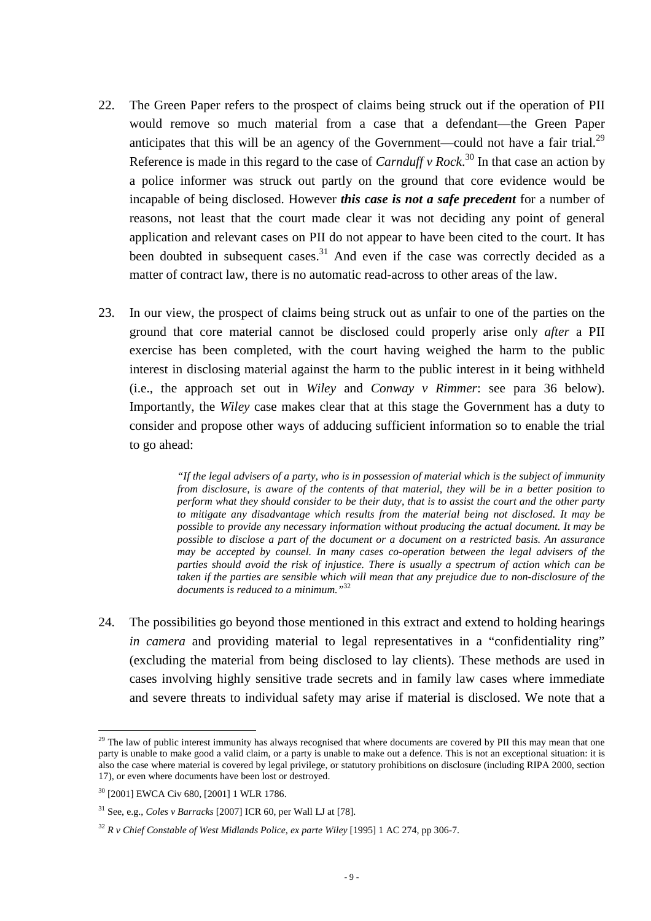- 22. The Green Paper refers to the prospect of claims being struck out if the operation of PII would remove so much material from a case that a defendant—the Green Paper anticipates that this will be an agency of the Government—could not have a fair trial.<sup>29</sup> Reference is made in this regard to the case of *Carnduff v Rock*. <sup>30</sup> In that case an action by a police informer was struck out partly on the ground that core evidence would be incapable of being disclosed. However *this case is not a safe precedent* for a number of reasons, not least that the court made clear it was not deciding any point of general application and relevant cases on PII do not appear to have been cited to the court. It has been doubted in subsequent cases.<sup>31</sup> And even if the case was correctly decided as a matter of contract law, there is no automatic read-across to other areas of the law.
- 23. In our view, the prospect of claims being struck out as unfair to one of the parties on the ground that core material cannot be disclosed could properly arise only *after* a PII exercise has been completed, with the court having weighed the harm to the public interest in disclosing material against the harm to the public interest in it being withheld (i.e., the approach set out in *Wiley* and *Conway v Rimmer*: see para 36 below). Importantly, the *Wiley* case makes clear that at this stage the Government has a duty to consider and propose other ways of adducing sufficient information so to enable the trial to go ahead:

*"If the legal advisers of a party, who is in possession of material which is the subject of immunity from disclosure, is aware of the contents of that material, they will be in a better position to perform what they should consider to be their duty, that is to assist the court and the other party to mitigate any disadvantage which results from the material being not disclosed. It may be possible to provide any necessary information without producing the actual document. It may be possible to disclose a part of the document or a document on a restricted basis. An assurance may be accepted by counsel. In many cases co-operation between the legal advisers of the parties should avoid the risk of injustice. There is usually a spectrum of action which can be taken if the parties are sensible which will mean that any prejudice due to non-disclosure of the documents is reduced to a minimum."*<sup>32</sup>

24. The possibilities go beyond those mentioned in this extract and extend to holding hearings *in camera* and providing material to legal representatives in a "confidentiality ring" (excluding the material from being disclosed to lay clients). These methods are used in cases involving highly sensitive trade secrets and in family law cases where immediate and severe threats to individual safety may arise if material is disclosed. We note that a

 $2<sup>29</sup>$  The law of public interest immunity has always recognised that where documents are covered by PII this may mean that one party is unable to make good a valid claim, or a party is unable to make out a defence. This is not an exceptional situation: it is also the case where material is covered by legal privilege, or statutory prohibitions on disclosure (including RIPA 2000, section 17), or even where documents have been lost or destroyed.

<sup>30</sup> [2001] EWCA Civ 680, [2001] 1 WLR 1786.

<sup>31</sup> See, e.g., *Coles v Barracks* [2007] ICR 60, per Wall LJ at [78].

<sup>32</sup> *R v Chief Constable of West Midlands Police, ex parte Wiley* [1995] 1 AC 274, pp 306-7.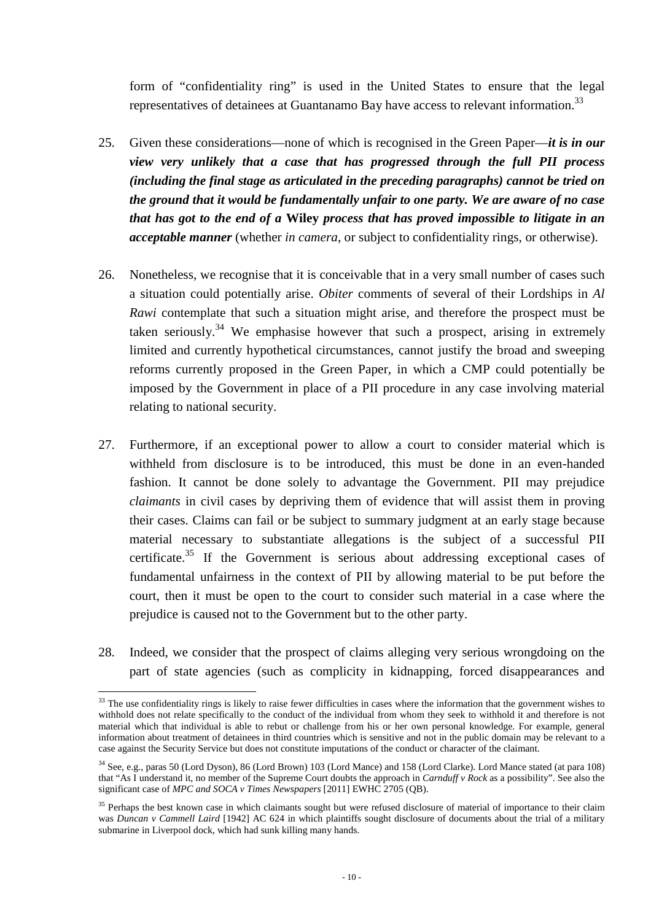form of "confidentiality ring" is used in the United States to ensure that the legal representatives of detainees at Guantanamo Bay have access to relevant information.<sup>33</sup>

- 25. Given these considerations—none of which is recognised in the Green Paper—*it is in our view very unlikely that a case that has progressed through the full PII process (including the final stage as articulated in the preceding paragraphs) cannot be tried on the ground that it would be fundamentally unfair to one party. We are aware of no case that has got to the end of a* **Wiley** *process that has proved impossible to litigate in an acceptable manner* (whether *in camera*, or subject to confidentiality rings, or otherwise).
- 26. Nonetheless, we recognise that it is conceivable that in a very small number of cases such a situation could potentially arise. *Obiter* comments of several of their Lordships in *Al Rawi* contemplate that such a situation might arise, and therefore the prospect must be taken seriously.<sup>34</sup> We emphasise however that such a prospect, arising in extremely limited and currently hypothetical circumstances, cannot justify the broad and sweeping reforms currently proposed in the Green Paper, in which a CMP could potentially be imposed by the Government in place of a PII procedure in any case involving material relating to national security.
- 27. Furthermore, if an exceptional power to allow a court to consider material which is withheld from disclosure is to be introduced, this must be done in an even-handed fashion. It cannot be done solely to advantage the Government. PII may prejudice *claimants* in civil cases by depriving them of evidence that will assist them in proving their cases. Claims can fail or be subject to summary judgment at an early stage because material necessary to substantiate allegations is the subject of a successful PII certificate. $35$  If the Government is serious about addressing exceptional cases of fundamental unfairness in the context of PII by allowing material to be put before the court, then it must be open to the court to consider such material in a case where the prejudice is caused not to the Government but to the other party.
- 28. Indeed, we consider that the prospect of claims alleging very serious wrongdoing on the part of state agencies (such as complicity in kidnapping, forced disappearances and

 $33$  The use confidentiality rings is likely to raise fewer difficulties in cases where the information that the government wishes to withhold does not relate specifically to the conduct of the individual from whom they seek to withhold it and therefore is not material which that individual is able to rebut or challenge from his or her own personal knowledge. For example, general information about treatment of detainees in third countries which is sensitive and not in the public domain may be relevant to a case against the Security Service but does not constitute imputations of the conduct or character of the claimant.

<sup>34</sup> See, e.g., paras 50 (Lord Dyson), 86 (Lord Brown) 103 (Lord Mance) and 158 (Lord Clarke). Lord Mance stated (at para 108) that "As I understand it, no member of the Supreme Court doubts the approach in *Carnduff v Rock* as a possibility". See also the significant case of *MPC and SOCA v Times Newspapers* [2011] EWHC 2705 (QB).

<sup>&</sup>lt;sup>35</sup> Perhaps the best known case in which claimants sought but were refused disclosure of material of importance to their claim was *Duncan v Cammell Laird* [1942] AC 624 in which plaintiffs sought disclosure of documents about the trial of a military submarine in Liverpool dock, which had sunk killing many hands.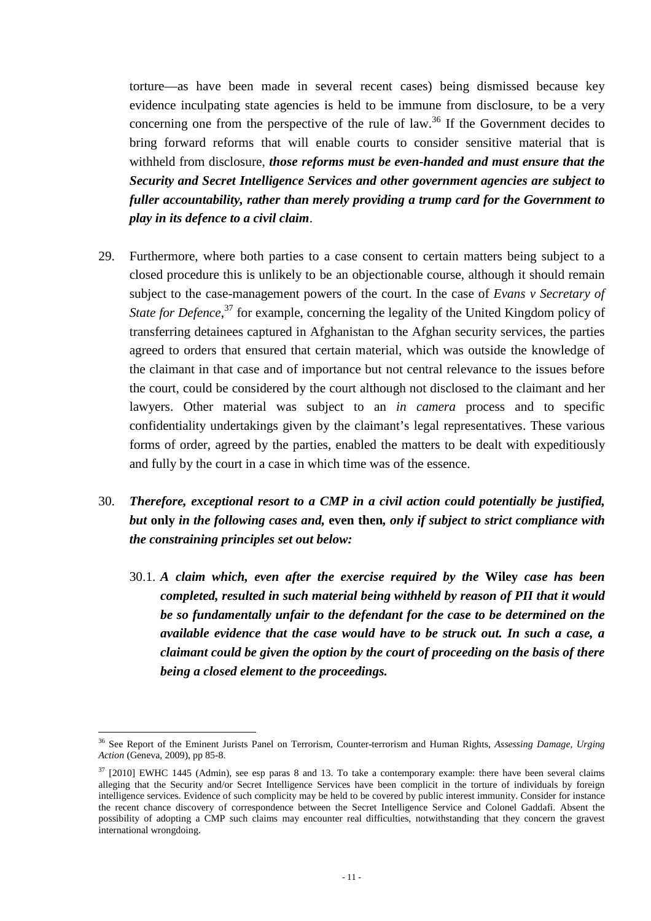torture—as have been made in several recent cases) being dismissed because key evidence inculpating state agencies is held to be immune from disclosure, to be a very concerning one from the perspective of the rule of law.<sup>36</sup> If the Government decides to bring forward reforms that will enable courts to consider sensitive material that is withheld from disclosure, *those reforms must be even-handed and must ensure that the Security and Secret Intelligence Services and other government agencies are subject to fuller accountability, rather than merely providing a trump card for the Government to play in its defence to a civil claim*.

- 29. Furthermore, where both parties to a case consent to certain matters being subject to a closed procedure this is unlikely to be an objectionable course, although it should remain subject to the case-management powers of the court. In the case of *Evans v Secretary of*  State for Defence,<sup>37</sup> for example, concerning the legality of the United Kingdom policy of transferring detainees captured in Afghanistan to the Afghan security services, the parties agreed to orders that ensured that certain material, which was outside the knowledge of the claimant in that case and of importance but not central relevance to the issues before the court, could be considered by the court although not disclosed to the claimant and her lawyers. Other material was subject to an *in camera* process and to specific confidentiality undertakings given by the claimant's legal representatives. These various forms of order, agreed by the parties, enabled the matters to be dealt with expeditiously and fully by the court in a case in which time was of the essence.
- 30. *Therefore, exceptional resort to a CMP in a civil action could potentially be justified, but* **only** *in the following cases and,* **even then***, only if subject to strict compliance with the constraining principles set out below:* 
	- 30.1. *A claim which, even after the exercise required by the* **Wiley** *case has been completed, resulted in such material being withheld by reason of PII that it would be so fundamentally unfair to the defendant for the case to be determined on the available evidence that the case would have to be struck out. In such a case, a claimant could be given the option by the court of proceeding on the basis of there being a closed element to the proceedings.*

 $\overline{a}$ <sup>36</sup> See Report of the Eminent Jurists Panel on Terrorism, Counter-terrorism and Human Rights, *Assessing Damage, Urging Action* (Geneva, 2009), pp 85-8.

 $37$  [2010] EWHC 1445 (Admin), see esp paras 8 and 13. To take a contemporary example: there have been several claims alleging that the Security and/or Secret Intelligence Services have been complicit in the torture of individuals by foreign intelligence services. Evidence of such complicity may be held to be covered by public interest immunity. Consider for instance the recent chance discovery of correspondence between the Secret Intelligence Service and Colonel Gaddafi. Absent the possibility of adopting a CMP such claims may encounter real difficulties, notwithstanding that they concern the gravest international wrongdoing.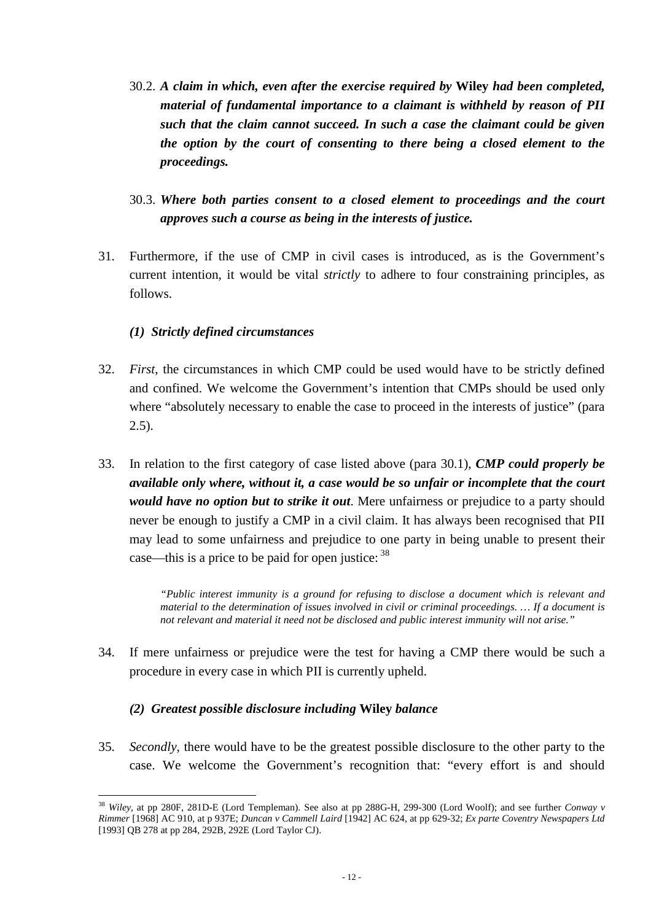- 30.2. *A claim in which, even after the exercise required by* **Wiley** *had been completed, material of fundamental importance to a claimant is withheld by reason of PII such that the claim cannot succeed. In such a case the claimant could be given the option by the court of consenting to there being a closed element to the proceedings.*
- 30.3. *Where both parties consent to a closed element to proceedings and the court approves such a course as being in the interests of justice.*
- 31. Furthermore, if the use of CMP in civil cases is introduced, as is the Government's current intention, it would be vital *strictly* to adhere to four constraining principles, as follows.

# *(1) Strictly defined circumstances*

- 32. *First*, the circumstances in which CMP could be used would have to be strictly defined and confined. We welcome the Government's intention that CMPs should be used only where "absolutely necessary to enable the case to proceed in the interests of justice" (para  $(2.5)$ .
- 33. In relation to the first category of case listed above (para 30.1), *CMP could properly be available only where, without it, a case would be so unfair or incomplete that the court would have no option but to strike it out*. Mere unfairness or prejudice to a party should never be enough to justify a CMP in a civil claim. It has always been recognised that PII may lead to some unfairness and prejudice to one party in being unable to present their case—this is a price to be paid for open justice:  $38$

*"Public interest immunity is a ground for refusing to disclose a document which is relevant and material to the determination of issues involved in civil or criminal proceedings. … If a document is not relevant and material it need not be disclosed and public interest immunity will not arise."* 

34. If mere unfairness or prejudice were the test for having a CMP there would be such a procedure in every case in which PII is currently upheld.

# *(2) Greatest possible disclosure including* **Wiley** *balance*

35. *Secondly*, there would have to be the greatest possible disclosure to the other party to the case. We welcome the Government's recognition that: "every effort is and should

 $\overline{a}$ <sup>38</sup> *Wiley*, at pp 280F, 281D-E (Lord Templeman). See also at pp 288G-H, 299-300 (Lord Woolf); and see further *Conway v Rimmer* [1968] AC 910, at p 937E; *Duncan v Cammell Laird* [1942] AC 624, at pp 629-32; *Ex parte Coventry Newspapers Ltd*  [1993] QB 278 at pp 284, 292B, 292E (Lord Taylor CJ).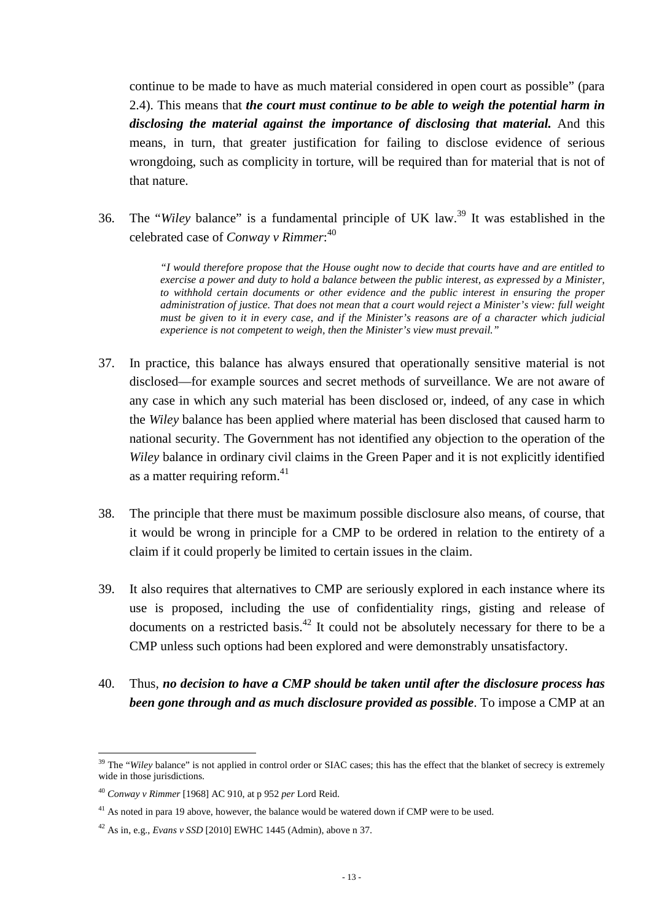continue to be made to have as much material considered in open court as possible" (para 2.4). This means that *the court must continue to be able to weigh the potential harm in disclosing the material against the importance of disclosing that material.* And this means, in turn, that greater justification for failing to disclose evidence of serious wrongdoing, such as complicity in torture, will be required than for material that is not of that nature.

36. The "*Wiley* balance" is a fundamental principle of UK law.<sup>39</sup> It was established in the celebrated case of *Conway v Rimmer*: 40

> *"I would therefore propose that the House ought now to decide that courts have and are entitled to exercise a power and duty to hold a balance between the public interest, as expressed by a Minister, to withhold certain documents or other evidence and the public interest in ensuring the proper administration of justice. That does not mean that a court would reject a Minister's view: full weight must be given to it in every case, and if the Minister's reasons are of a character which judicial experience is not competent to weigh, then the Minister's view must prevail."*

- 37. In practice, this balance has always ensured that operationally sensitive material is not disclosed—for example sources and secret methods of surveillance. We are not aware of any case in which any such material has been disclosed or, indeed, of any case in which the *Wiley* balance has been applied where material has been disclosed that caused harm to national security. The Government has not identified any objection to the operation of the *Wiley* balance in ordinary civil claims in the Green Paper and it is not explicitly identified as a matter requiring reform.<sup>41</sup>
- 38. The principle that there must be maximum possible disclosure also means, of course, that it would be wrong in principle for a CMP to be ordered in relation to the entirety of a claim if it could properly be limited to certain issues in the claim.
- 39. It also requires that alternatives to CMP are seriously explored in each instance where its use is proposed, including the use of confidentiality rings, gisting and release of documents on a restricted basis.<sup>42</sup> It could not be absolutely necessary for there to be a CMP unless such options had been explored and were demonstrably unsatisfactory.
- 40. Thus, *no decision to have a CMP should be taken until after the disclosure process has been gone through and as much disclosure provided as possible*. To impose a CMP at an

<sup>&</sup>lt;sup>39</sup> The "*Wiley* balance" is not applied in control order or SIAC cases; this has the effect that the blanket of secrecy is extremely wide in those jurisdictions.

<sup>40</sup> *Conway v Rimmer* [1968] AC 910, at p 952 *per* Lord Reid.

<sup>&</sup>lt;sup>41</sup> As noted in para 19 above, however, the balance would be watered down if CMP were to be used.

 $42$  As in, e.g., *Evans v SSD* [2010] EWHC 1445 (Admin), above n 37.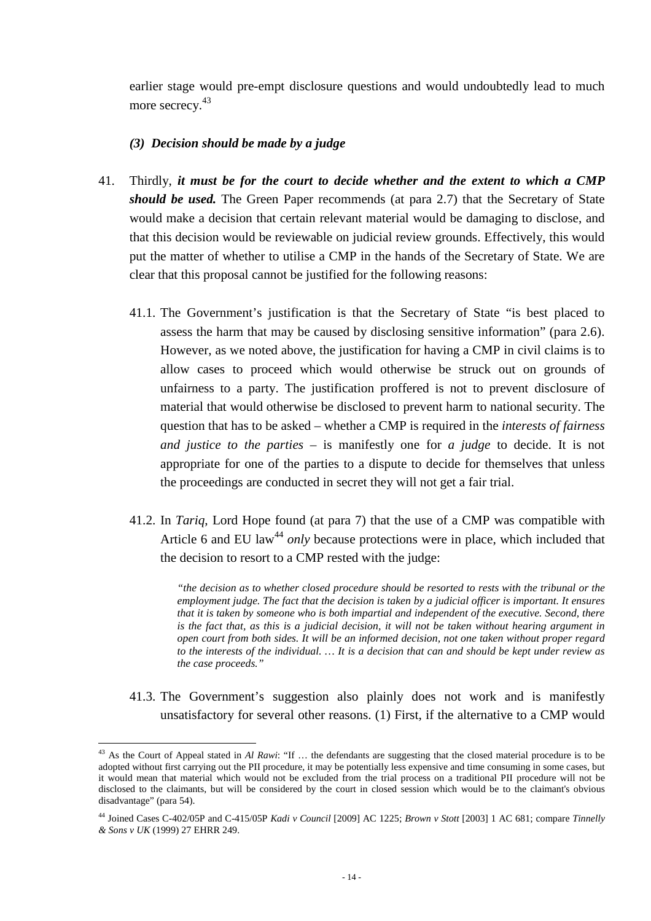earlier stage would pre-empt disclosure questions and would undoubtedly lead to much more secrecy.<sup>43</sup>

### *(3) Decision should be made by a judge*

- 41. Thirdly, *it must be for the court to decide whether and the extent to which a CMP should be used.* The Green Paper recommends (at para 2.7) that the Secretary of State would make a decision that certain relevant material would be damaging to disclose, and that this decision would be reviewable on judicial review grounds. Effectively, this would put the matter of whether to utilise a CMP in the hands of the Secretary of State. We are clear that this proposal cannot be justified for the following reasons:
	- 41.1. The Government's justification is that the Secretary of State "is best placed to assess the harm that may be caused by disclosing sensitive information" (para 2.6). However, as we noted above, the justification for having a CMP in civil claims is to allow cases to proceed which would otherwise be struck out on grounds of unfairness to a party. The justification proffered is not to prevent disclosure of material that would otherwise be disclosed to prevent harm to national security. The question that has to be asked – whether a CMP is required in the *interests of fairness and justice to the parties* – is manifestly one for *a judge* to decide. It is not appropriate for one of the parties to a dispute to decide for themselves that unless the proceedings are conducted in secret they will not get a fair trial.
	- 41.2. In *Tariq*, Lord Hope found (at para 7) that the use of a CMP was compatible with Article 6 and EU law<sup>44</sup> *only* because protections were in place, which included that the decision to resort to a CMP rested with the judge:

*"the decision as to whether closed procedure should be resorted to rests with the tribunal or the employment judge. The fact that the decision is taken by a judicial officer is important. It ensures that it is taken by someone who is both impartial and independent of the executive. Second, there is the fact that, as this is a judicial decision, it will not be taken without hearing argument in open court from both sides. It will be an informed decision, not one taken without proper regard to the interests of the individual. … It is a decision that can and should be kept under review as the case proceeds."* 

41.3. The Government's suggestion also plainly does not work and is manifestly unsatisfactory for several other reasons. (1) First, if the alternative to a CMP would

 $\overline{a}$ <sup>43</sup> As the Court of Appeal stated in *Al Rawi*: "If … the defendants are suggesting that the closed material procedure is to be adopted without first carrying out the PII procedure, it may be potentially less expensive and time consuming in some cases, but it would mean that material which would not be excluded from the trial process on a traditional PII procedure will not be disclosed to the claimants, but will be considered by the court in closed session which would be to the claimant's obvious disadvantage" (para 54).

<sup>44</sup> Joined Cases C-402/05P and C-415/05P *Kadi v Council* [2009] AC 1225; *Brown v Stott* [2003] 1 AC 681; compare *Tinnelly & Sons v UK* (1999) 27 EHRR 249.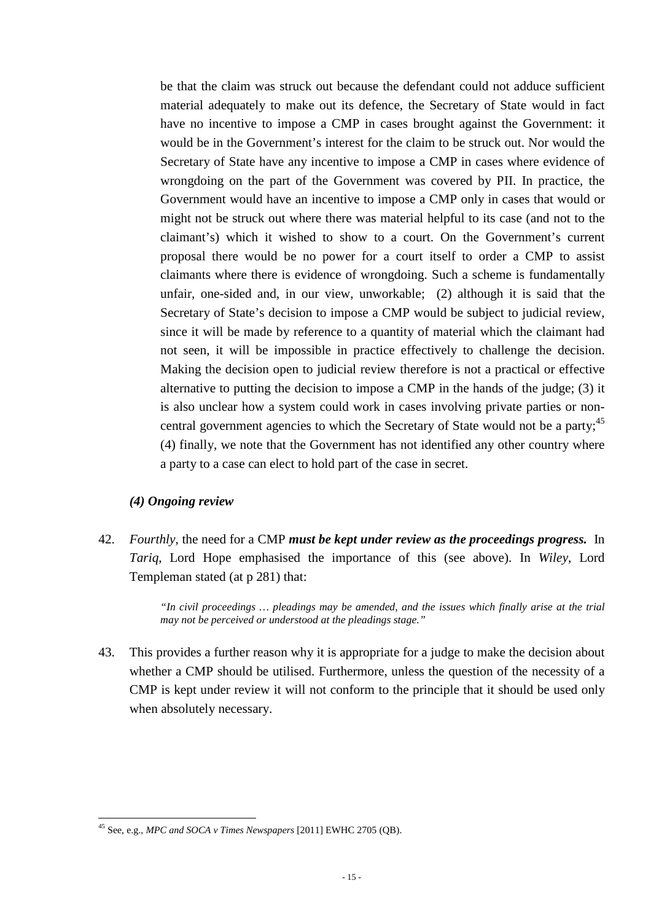be that the claim was struck out because the defendant could not adduce sufficient material adequately to make out its defence, the Secretary of State would in fact have no incentive to impose a CMP in cases brought against the Government: it would be in the Government's interest for the claim to be struck out. Nor would the Secretary of State have any incentive to impose a CMP in cases where evidence of wrongdoing on the part of the Government was covered by PII. In practice, the Government would have an incentive to impose a CMP only in cases that would or might not be struck out where there was material helpful to its case (and not to the claimant's) which it wished to show to a court. On the Government's current proposal there would be no power for a court itself to order a CMP to assist claimants where there is evidence of wrongdoing. Such a scheme is fundamentally unfair, one-sided and, in our view, unworkable; (2) although it is said that the Secretary of State's decision to impose a CMP would be subject to judicial review, since it will be made by reference to a quantity of material which the claimant had not seen, it will be impossible in practice effectively to challenge the decision. Making the decision open to judicial review therefore is not a practical or effective alternative to putting the decision to impose a CMP in the hands of the judge; (3) it is also unclear how a system could work in cases involving private parties or noncentral government agencies to which the Secretary of State would not be a party:<sup>45</sup> (4) finally, we note that the Government has not identified any other country where a party to a case can elect to hold part of the case in secret.

### *(4) Ongoing review*

 $\overline{a}$ 

42. *Fourthly*, the need for a CMP *must be kept under review as the proceedings progress.* In *Tariq*, Lord Hope emphasised the importance of this (see above). In *Wiley*, Lord Templeman stated (at p 281) that:

> *"In civil proceedings … pleadings may be amended, and the issues which finally arise at the trial may not be perceived or understood at the pleadings stage."*

43. This provides a further reason why it is appropriate for a judge to make the decision about whether a CMP should be utilised. Furthermore, unless the question of the necessity of a CMP is kept under review it will not conform to the principle that it should be used only when absolutely necessary.

<sup>45</sup> See, e.g., *MPC and SOCA v Times Newspapers* [2011] EWHC 2705 (QB).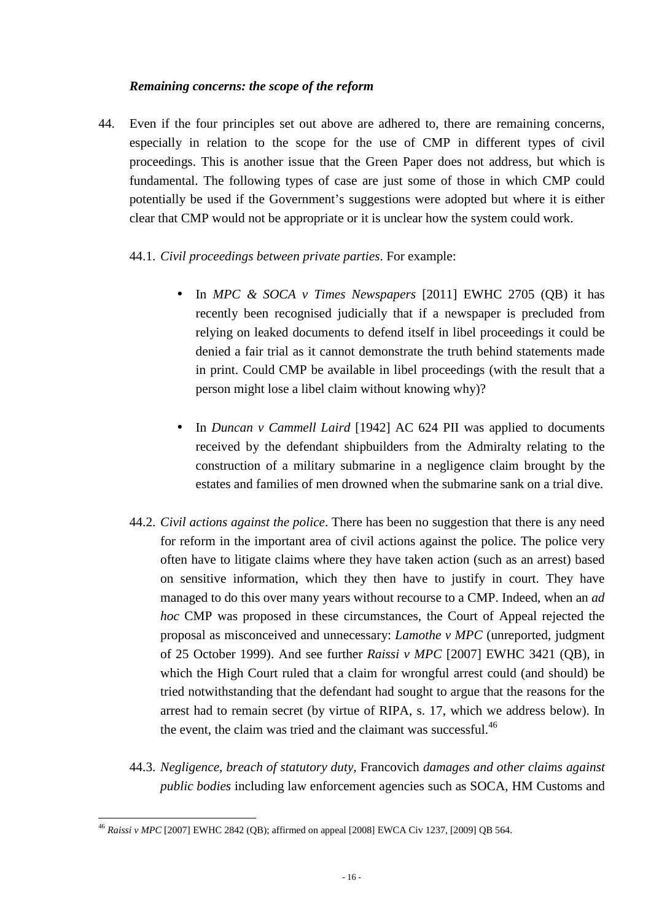### *Remaining concerns: the scope of the reform*

44. Even if the four principles set out above are adhered to, there are remaining concerns, especially in relation to the scope for the use of CMP in different types of civil proceedings. This is another issue that the Green Paper does not address, but which is fundamental. The following types of case are just some of those in which CMP could potentially be used if the Government's suggestions were adopted but where it is either clear that CMP would not be appropriate or it is unclear how the system could work.

# 44.1. *Civil proceedings between private parties*. For example:

- In *MPC & SOCA v Times Newspapers* [2011] EWHC 2705 (QB) it has recently been recognised judicially that if a newspaper is precluded from relying on leaked documents to defend itself in libel proceedings it could be denied a fair trial as it cannot demonstrate the truth behind statements made in print. Could CMP be available in libel proceedings (with the result that a person might lose a libel claim without knowing why)?
- In *Duncan v Cammell Laird* [1942] AC 624 PII was applied to documents received by the defendant shipbuilders from the Admiralty relating to the construction of a military submarine in a negligence claim brought by the estates and families of men drowned when the submarine sank on a trial dive.
- 44.2. *Civil actions against the police*. There has been no suggestion that there is any need for reform in the important area of civil actions against the police. The police very often have to litigate claims where they have taken action (such as an arrest) based on sensitive information, which they then have to justify in court. They have managed to do this over many years without recourse to a CMP. Indeed, when an *ad hoc* CMP was proposed in these circumstances, the Court of Appeal rejected the proposal as misconceived and unnecessary: *Lamothe v MPC* (unreported, judgment of 25 October 1999). And see further *Raissi v MPC* [2007] EWHC 3421 (QB), in which the High Court ruled that a claim for wrongful arrest could (and should) be tried notwithstanding that the defendant had sought to argue that the reasons for the arrest had to remain secret (by virtue of RIPA, s. 17, which we address below). In the event, the claim was tried and the claimant was successful. $46$
- 44.3. *Negligence, breach of statutory duty,* Francovich *damages and other claims against public bodies* including law enforcement agencies such as SOCA, HM Customs and

 $\overline{a}$ <sup>46</sup> *Raissi v MPC* [2007] EWHC 2842 (QB); affirmed on appeal [2008] EWCA Civ 1237, [2009] QB 564.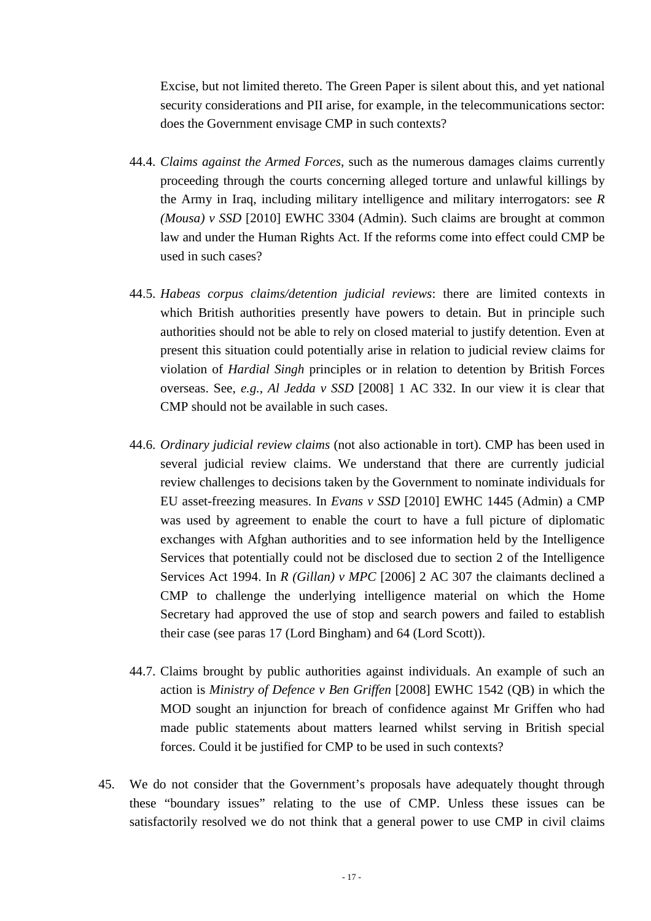Excise, but not limited thereto. The Green Paper is silent about this, and yet national security considerations and PII arise, for example, in the telecommunications sector: does the Government envisage CMP in such contexts?

- 44.4. *Claims against the Armed Forces*, such as the numerous damages claims currently proceeding through the courts concerning alleged torture and unlawful killings by the Army in Iraq, including military intelligence and military interrogators: see *R (Mousa) v SSD* [2010] EWHC 3304 (Admin). Such claims are brought at common law and under the Human Rights Act. If the reforms come into effect could CMP be used in such cases?
- 44.5. *Habeas corpus claims/detention judicial reviews*: there are limited contexts in which British authorities presently have powers to detain. But in principle such authorities should not be able to rely on closed material to justify detention. Even at present this situation could potentially arise in relation to judicial review claims for violation of *Hardial Singh* principles or in relation to detention by British Forces overseas. See, *e.g.*, *Al Jedda v SSD* [2008] 1 AC 332. In our view it is clear that CMP should not be available in such cases.
- 44.6. *Ordinary judicial review claims* (not also actionable in tort). CMP has been used in several judicial review claims. We understand that there are currently judicial review challenges to decisions taken by the Government to nominate individuals for EU asset-freezing measures. In *Evans v SSD* [2010] EWHC 1445 (Admin) a CMP was used by agreement to enable the court to have a full picture of diplomatic exchanges with Afghan authorities and to see information held by the Intelligence Services that potentially could not be disclosed due to section 2 of the Intelligence Services Act 1994. In *R (Gillan) v MPC* [2006] 2 AC 307 the claimants declined a CMP to challenge the underlying intelligence material on which the Home Secretary had approved the use of stop and search powers and failed to establish their case (see paras 17 (Lord Bingham) and 64 (Lord Scott)).
- 44.7. Claims brought by public authorities against individuals. An example of such an action is *Ministry of Defence v Ben Griffen* [2008] EWHC 1542 (QB) in which the MOD sought an injunction for breach of confidence against Mr Griffen who had made public statements about matters learned whilst serving in British special forces. Could it be justified for CMP to be used in such contexts?
- 45. We do not consider that the Government's proposals have adequately thought through these "boundary issues" relating to the use of CMP. Unless these issues can be satisfactorily resolved we do not think that a general power to use CMP in civil claims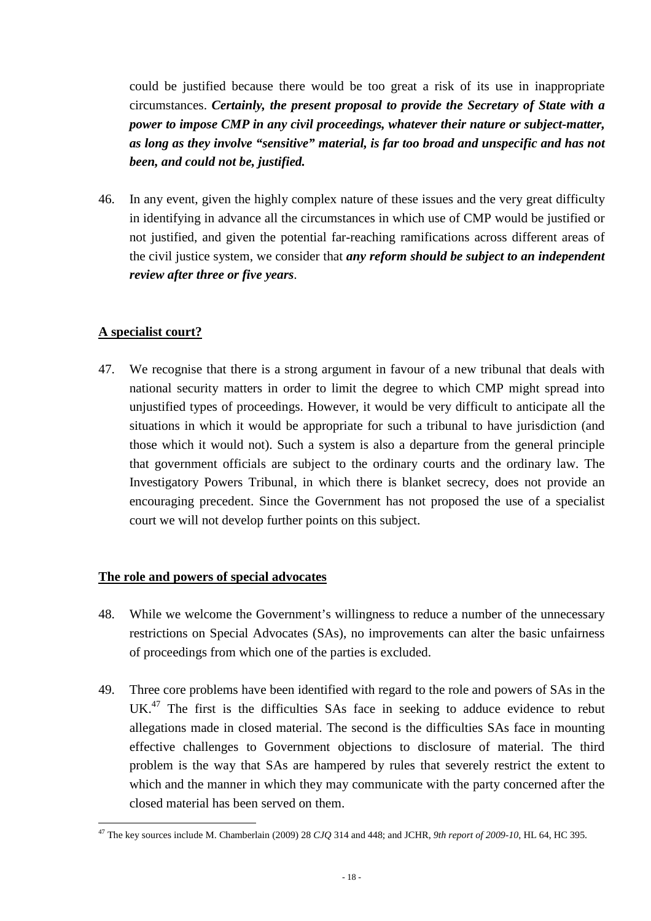could be justified because there would be too great a risk of its use in inappropriate circumstances. *Certainly, the present proposal to provide the Secretary of State with a power to impose CMP in any civil proceedings, whatever their nature or subject-matter, as long as they involve "sensitive" material, is far too broad and unspecific and has not been, and could not be, justified.*

46. In any event, given the highly complex nature of these issues and the very great difficulty in identifying in advance all the circumstances in which use of CMP would be justified or not justified, and given the potential far-reaching ramifications across different areas of the civil justice system, we consider that *any reform should be subject to an independent review after three or five years*.

# **A specialist court?**

47. We recognise that there is a strong argument in favour of a new tribunal that deals with national security matters in order to limit the degree to which CMP might spread into unjustified types of proceedings. However, it would be very difficult to anticipate all the situations in which it would be appropriate for such a tribunal to have jurisdiction (and those which it would not). Such a system is also a departure from the general principle that government officials are subject to the ordinary courts and the ordinary law. The Investigatory Powers Tribunal, in which there is blanket secrecy, does not provide an encouraging precedent. Since the Government has not proposed the use of a specialist court we will not develop further points on this subject.

# **The role and powers of special advocates**

- 48. While we welcome the Government's willingness to reduce a number of the unnecessary restrictions on Special Advocates (SAs), no improvements can alter the basic unfairness of proceedings from which one of the parties is excluded.
- 49. Three core problems have been identified with regard to the role and powers of SAs in the UK.<sup>47</sup> The first is the difficulties SAs face in seeking to adduce evidence to rebut allegations made in closed material. The second is the difficulties SAs face in mounting effective challenges to Government objections to disclosure of material. The third problem is the way that SAs are hampered by rules that severely restrict the extent to which and the manner in which they may communicate with the party concerned after the closed material has been served on them.

 $\overline{a}$ <sup>47</sup> The key sources include M. Chamberlain (2009) 28 *CJQ* 314 and 448; and JCHR, *9th report of 2009-10*, HL 64, HC 395.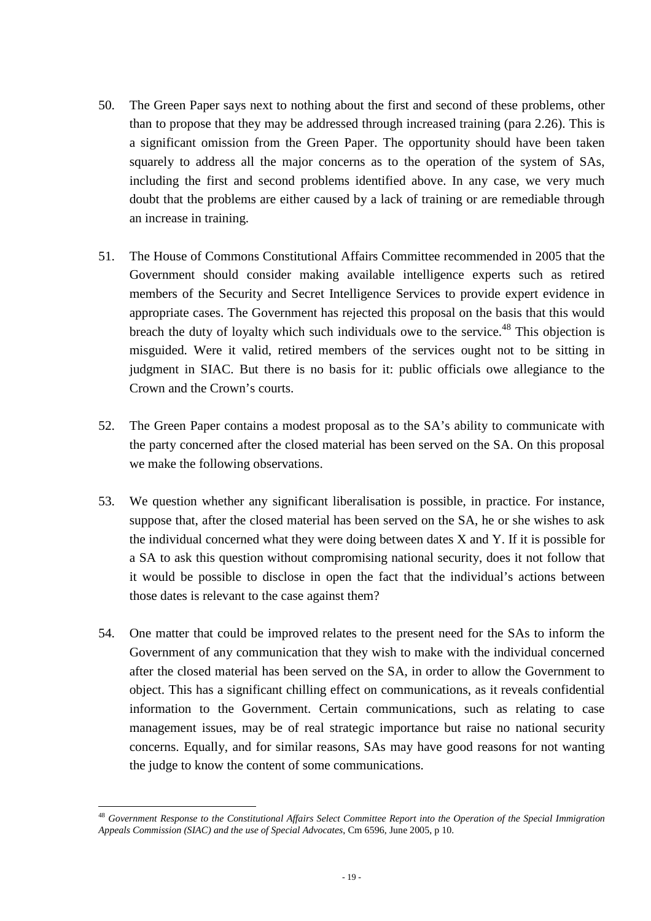- 50. The Green Paper says next to nothing about the first and second of these problems, other than to propose that they may be addressed through increased training (para 2.26). This is a significant omission from the Green Paper. The opportunity should have been taken squarely to address all the major concerns as to the operation of the system of SAs, including the first and second problems identified above. In any case, we very much doubt that the problems are either caused by a lack of training or are remediable through an increase in training.
- 51. The House of Commons Constitutional Affairs Committee recommended in 2005 that the Government should consider making available intelligence experts such as retired members of the Security and Secret Intelligence Services to provide expert evidence in appropriate cases. The Government has rejected this proposal on the basis that this would breach the duty of loyalty which such individuals owe to the service.<sup>48</sup> This objection is misguided. Were it valid, retired members of the services ought not to be sitting in judgment in SIAC. But there is no basis for it: public officials owe allegiance to the Crown and the Crown's courts.
- 52. The Green Paper contains a modest proposal as to the SA's ability to communicate with the party concerned after the closed material has been served on the SA. On this proposal we make the following observations.
- 53. We question whether any significant liberalisation is possible, in practice. For instance, suppose that, after the closed material has been served on the SA, he or she wishes to ask the individual concerned what they were doing between dates X and Y. If it is possible for a SA to ask this question without compromising national security, does it not follow that it would be possible to disclose in open the fact that the individual's actions between those dates is relevant to the case against them?
- 54. One matter that could be improved relates to the present need for the SAs to inform the Government of any communication that they wish to make with the individual concerned after the closed material has been served on the SA, in order to allow the Government to object. This has a significant chilling effect on communications, as it reveals confidential information to the Government. Certain communications, such as relating to case management issues, may be of real strategic importance but raise no national security concerns. Equally, and for similar reasons, SAs may have good reasons for not wanting the judge to know the content of some communications.

<sup>48</sup> *Government Response to the Constitutional Affairs Select Committee Report into the Operation of the Special Immigration Appeals Commission (SIAC) and the use of Special Advocates*, Cm 6596, June 2005, p 10.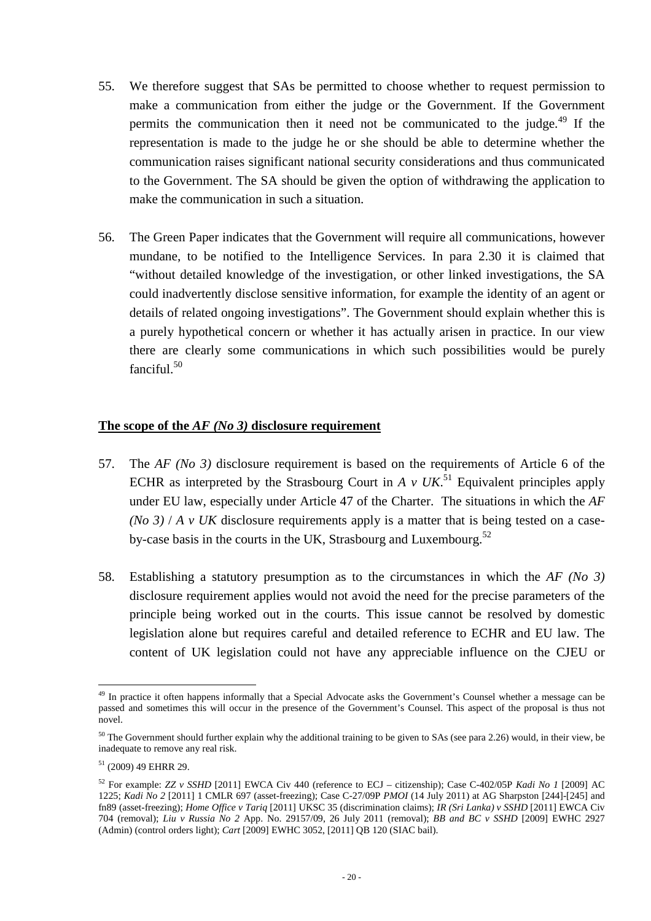- 55. We therefore suggest that SAs be permitted to choose whether to request permission to make a communication from either the judge or the Government. If the Government permits the communication then it need not be communicated to the judge.<sup>49</sup> If the representation is made to the judge he or she should be able to determine whether the communication raises significant national security considerations and thus communicated to the Government. The SA should be given the option of withdrawing the application to make the communication in such a situation.
- 56. The Green Paper indicates that the Government will require all communications, however mundane, to be notified to the Intelligence Services. In para 2.30 it is claimed that "without detailed knowledge of the investigation, or other linked investigations, the SA could inadvertently disclose sensitive information, for example the identity of an agent or details of related ongoing investigations". The Government should explain whether this is a purely hypothetical concern or whether it has actually arisen in practice. In our view there are clearly some communications in which such possibilities would be purely fanciful.<sup>50</sup>

### **The scope of the** *AF (No 3)* **disclosure requirement**

- 57. The *AF (No 3)* disclosure requirement is based on the requirements of Article 6 of the ECHR as interpreted by the Strasbourg Court in  $A \vee UK$ <sup>51</sup> Equivalent principles apply under EU law, especially under Article 47 of the Charter. The situations in which the *AF (No 3)* / *A v UK* disclosure requirements apply is a matter that is being tested on a caseby-case basis in the courts in the UK, Strasbourg and Luxembourg.<sup>52</sup>
- 58. Establishing a statutory presumption as to the circumstances in which the *AF (No 3)*  disclosure requirement applies would not avoid the need for the precise parameters of the principle being worked out in the courts. This issue cannot be resolved by domestic legislation alone but requires careful and detailed reference to ECHR and EU law. The content of UK legislation could not have any appreciable influence on the CJEU or

 $\overline{a}$ <sup>49</sup> In practice it often happens informally that a Special Advocate asks the Government's Counsel whether a message can be passed and sometimes this will occur in the presence of the Government's Counsel. This aspect of the proposal is thus not novel.

 $50$  The Government should further explain why the additional training to be given to SAs (see para 2.26) would, in their view, be inadequate to remove any real risk.

 $51$  (2009) 49 EHRR 29.

<sup>52</sup> For example: *ZZ v SSHD* [2011] EWCA Civ 440 (reference to ECJ – citizenship); Case C-402/05P *Kadi No 1* [2009] AC 1225; *Kadi No 2* [2011] 1 CMLR 697 (asset-freezing); Case C-27/09P *PMOI* (14 July 2011) at AG Sharpston [244]-[245] and fn89 (asset-freezing); *Home Office v Tariq* [2011] UKSC 35 (discrimination claims); *IR (Sri Lanka) v SSHD* [2011] EWCA Civ 704 (removal); *Liu v Russia No 2* App. No. 29157/09, 26 July 2011 (removal); *BB and BC v SSHD* [2009] EWHC 2927 (Admin) (control orders light); *Cart* [2009] EWHC 3052, [2011] QB 120 (SIAC bail).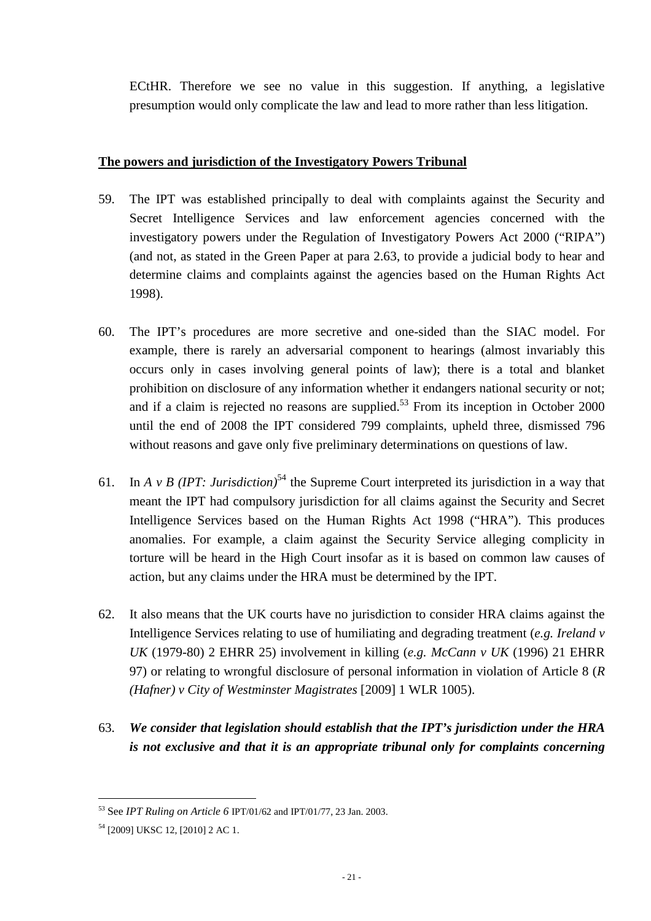ECtHR. Therefore we see no value in this suggestion. If anything, a legislative presumption would only complicate the law and lead to more rather than less litigation.

# **The powers and jurisdiction of the Investigatory Powers Tribunal**

- 59. The IPT was established principally to deal with complaints against the Security and Secret Intelligence Services and law enforcement agencies concerned with the investigatory powers under the Regulation of Investigatory Powers Act 2000 ("RIPA") (and not, as stated in the Green Paper at para 2.63, to provide a judicial body to hear and determine claims and complaints against the agencies based on the Human Rights Act 1998).
- 60. The IPT's procedures are more secretive and one-sided than the SIAC model. For example, there is rarely an adversarial component to hearings (almost invariably this occurs only in cases involving general points of law); there is a total and blanket prohibition on disclosure of any information whether it endangers national security or not; and if a claim is rejected no reasons are supplied.<sup>53</sup> From its inception in October 2000 until the end of 2008 the IPT considered 799 complaints, upheld three, dismissed 796 without reasons and gave only five preliminary determinations on questions of law.
- 61. In *A v B (IPT: Jurisdiction*)<sup>54</sup> the Supreme Court interpreted its jurisdiction in a way that meant the IPT had compulsory jurisdiction for all claims against the Security and Secret Intelligence Services based on the Human Rights Act 1998 ("HRA"). This produces anomalies. For example, a claim against the Security Service alleging complicity in torture will be heard in the High Court insofar as it is based on common law causes of action, but any claims under the HRA must be determined by the IPT.
- 62. It also means that the UK courts have no jurisdiction to consider HRA claims against the Intelligence Services relating to use of humiliating and degrading treatment (*e.g. Ireland v UK* (1979-80) 2 EHRR 25) involvement in killing (*e.g. McCann v UK* (1996) 21 EHRR 97) or relating to wrongful disclosure of personal information in violation of Article 8 (*R (Hafner) v City of Westminster Magistrates* [2009] 1 WLR 1005).
- 63. *We consider that legislation should establish that the IPT's jurisdiction under the HRA is not exclusive and that it is an appropriate tribunal only for complaints concerning*

 $\overline{a}$ <sup>53</sup> See *IPT Ruling on Article 6* IPT/01/62 and IPT/01/77, 23 Jan. 2003.

<sup>54</sup> [2009] UKSC 12, [2010] 2 AC 1.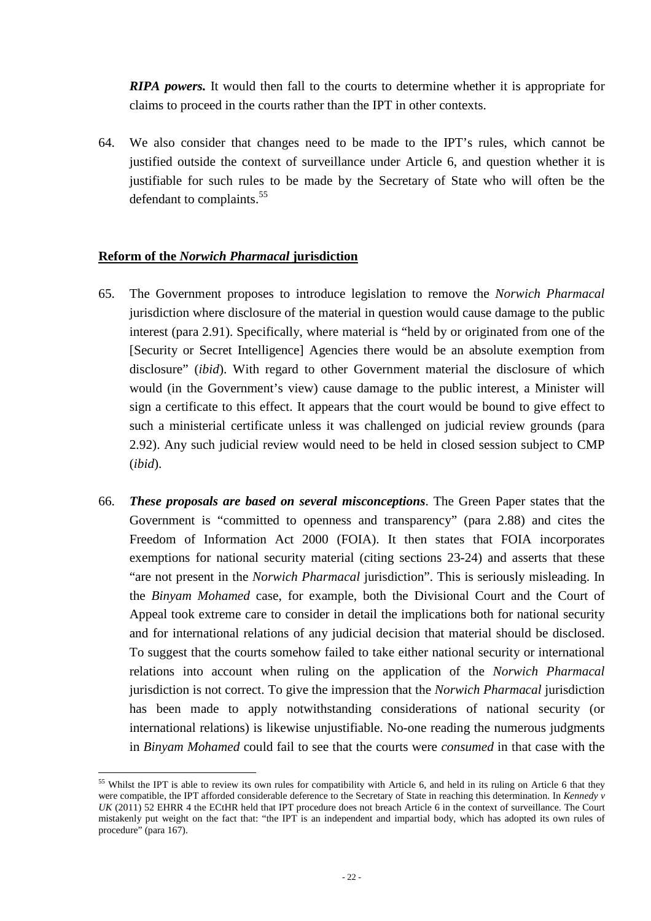*RIPA powers.* It would then fall to the courts to determine whether it is appropriate for claims to proceed in the courts rather than the IPT in other contexts.

64. We also consider that changes need to be made to the IPT's rules, which cannot be justified outside the context of surveillance under Article 6, and question whether it is justifiable for such rules to be made by the Secretary of State who will often be the defendant to complaints.<sup>55</sup>

#### **Reform of the** *Norwich Pharmacal* **jurisdiction**

- 65. The Government proposes to introduce legislation to remove the *Norwich Pharmacal* jurisdiction where disclosure of the material in question would cause damage to the public interest (para 2.91). Specifically, where material is "held by or originated from one of the [Security or Secret Intelligence] Agencies there would be an absolute exemption from disclosure" (*ibid*). With regard to other Government material the disclosure of which would (in the Government's view) cause damage to the public interest, a Minister will sign a certificate to this effect. It appears that the court would be bound to give effect to such a ministerial certificate unless it was challenged on judicial review grounds (para 2.92). Any such judicial review would need to be held in closed session subject to CMP (*ibid*).
- 66. *These proposals are based on several misconceptions*. The Green Paper states that the Government is "committed to openness and transparency" (para 2.88) and cites the Freedom of Information Act 2000 (FOIA). It then states that FOIA incorporates exemptions for national security material (citing sections 23-24) and asserts that these "are not present in the *Norwich Pharmacal* jurisdiction". This is seriously misleading. In the *Binyam Mohamed* case, for example, both the Divisional Court and the Court of Appeal took extreme care to consider in detail the implications both for national security and for international relations of any judicial decision that material should be disclosed. To suggest that the courts somehow failed to take either national security or international relations into account when ruling on the application of the *Norwich Pharmacal* jurisdiction is not correct. To give the impression that the *Norwich Pharmacal* jurisdiction has been made to apply notwithstanding considerations of national security (or international relations) is likewise unjustifiable. No-one reading the numerous judgments in *Binyam Mohamed* could fail to see that the courts were *consumed* in that case with the

<sup>&</sup>lt;sup>55</sup> Whilst the IPT is able to review its own rules for compatibility with Article 6, and held in its ruling on Article 6 that they were compatible, the IPT afforded considerable deference to the Secretary of State in reaching this determination. In *Kennedy v UK* (2011) 52 EHRR 4 the ECtHR held that IPT procedure does not breach Article 6 in the context of surveillance. The Court mistakenly put weight on the fact that: "the IPT is an independent and impartial body, which has adopted its own rules of procedure" (para 167).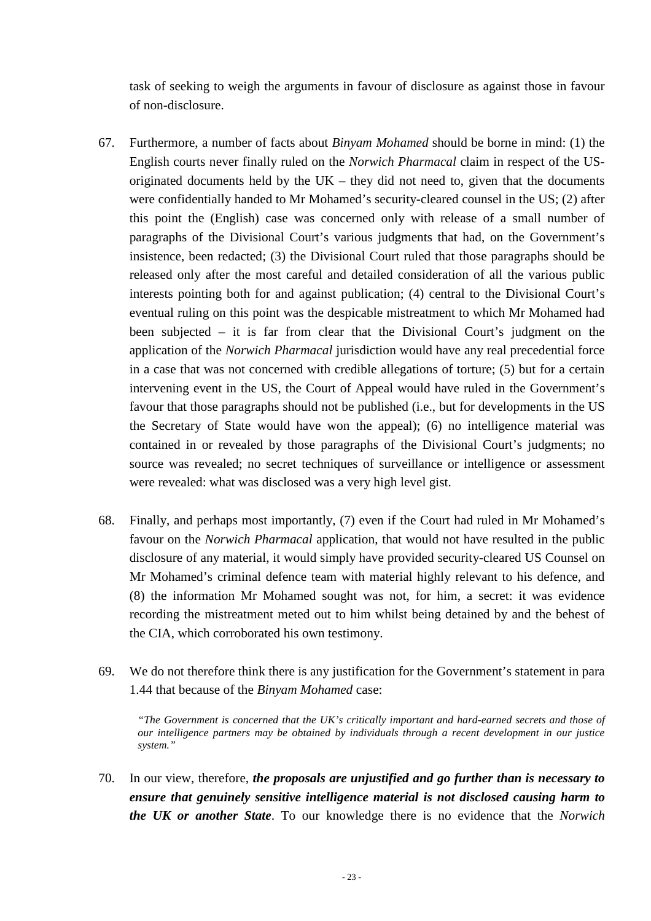task of seeking to weigh the arguments in favour of disclosure as against those in favour of non-disclosure.

- 67. Furthermore, a number of facts about *Binyam Mohamed* should be borne in mind: (1) the English courts never finally ruled on the *Norwich Pharmacal* claim in respect of the USoriginated documents held by the  $UK -$  they did not need to, given that the documents were confidentially handed to Mr Mohamed's security-cleared counsel in the US; (2) after this point the (English) case was concerned only with release of a small number of paragraphs of the Divisional Court's various judgments that had, on the Government's insistence, been redacted; (3) the Divisional Court ruled that those paragraphs should be released only after the most careful and detailed consideration of all the various public interests pointing both for and against publication; (4) central to the Divisional Court's eventual ruling on this point was the despicable mistreatment to which Mr Mohamed had been subjected – it is far from clear that the Divisional Court's judgment on the application of the *Norwich Pharmacal* jurisdiction would have any real precedential force in a case that was not concerned with credible allegations of torture; (5) but for a certain intervening event in the US, the Court of Appeal would have ruled in the Government's favour that those paragraphs should not be published (i.e., but for developments in the US the Secretary of State would have won the appeal); (6) no intelligence material was contained in or revealed by those paragraphs of the Divisional Court's judgments; no source was revealed; no secret techniques of surveillance or intelligence or assessment were revealed: what was disclosed was a very high level gist.
- 68. Finally, and perhaps most importantly, (7) even if the Court had ruled in Mr Mohamed's favour on the *Norwich Pharmacal* application, that would not have resulted in the public disclosure of any material, it would simply have provided security-cleared US Counsel on Mr Mohamed's criminal defence team with material highly relevant to his defence, and (8) the information Mr Mohamed sought was not, for him, a secret: it was evidence recording the mistreatment meted out to him whilst being detained by and the behest of the CIA, which corroborated his own testimony.
- 69. We do not therefore think there is any justification for the Government's statement in para 1.44 that because of the *Binyam Mohamed* case:

*"The Government is concerned that the UK's critically important and hard-earned secrets and those of our intelligence partners may be obtained by individuals through a recent development in our justice system."* 

70. In our view, therefore, *the proposals are unjustified and go further than is necessary to ensure that genuinely sensitive intelligence material is not disclosed causing harm to the UK or another State*. To our knowledge there is no evidence that the *Norwich*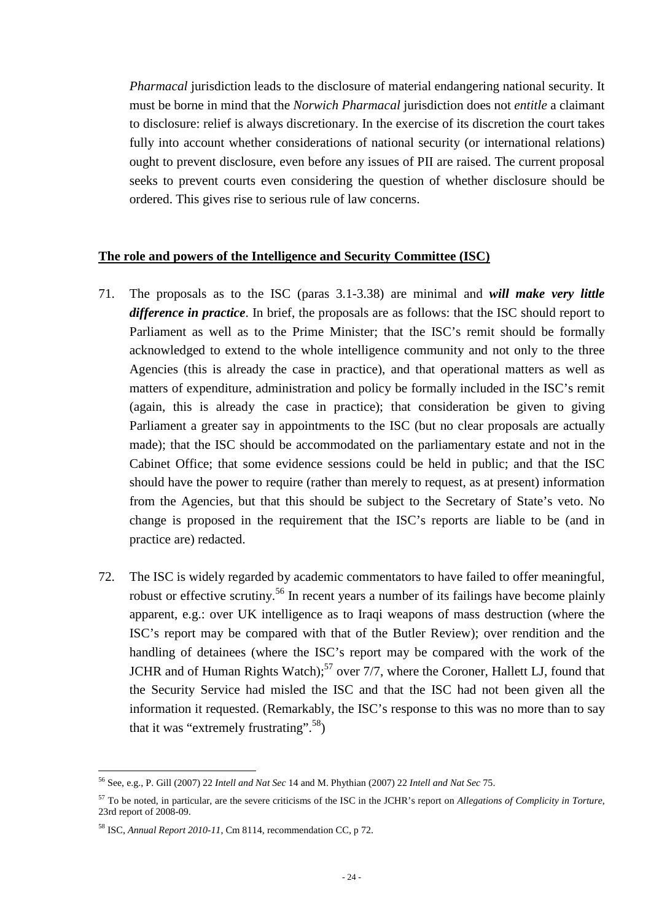*Pharmacal* jurisdiction leads to the disclosure of material endangering national security. It must be borne in mind that the *Norwich Pharmacal* jurisdiction does not *entitle* a claimant to disclosure: relief is always discretionary. In the exercise of its discretion the court takes fully into account whether considerations of national security (or international relations) ought to prevent disclosure, even before any issues of PII are raised. The current proposal seeks to prevent courts even considering the question of whether disclosure should be ordered. This gives rise to serious rule of law concerns.

#### **The role and powers of the Intelligence and Security Committee (ISC)**

- 71. The proposals as to the ISC (paras 3.1-3.38) are minimal and *will make very little difference in practice*. In brief, the proposals are as follows: that the ISC should report to Parliament as well as to the Prime Minister; that the ISC's remit should be formally acknowledged to extend to the whole intelligence community and not only to the three Agencies (this is already the case in practice), and that operational matters as well as matters of expenditure, administration and policy be formally included in the ISC's remit (again, this is already the case in practice); that consideration be given to giving Parliament a greater say in appointments to the ISC (but no clear proposals are actually made); that the ISC should be accommodated on the parliamentary estate and not in the Cabinet Office; that some evidence sessions could be held in public; and that the ISC should have the power to require (rather than merely to request, as at present) information from the Agencies, but that this should be subject to the Secretary of State's veto. No change is proposed in the requirement that the ISC's reports are liable to be (and in practice are) redacted.
- 72. The ISC is widely regarded by academic commentators to have failed to offer meaningful, robust or effective scrutiny.<sup>56</sup> In recent years a number of its failings have become plainly apparent, e.g.: over UK intelligence as to Iraqi weapons of mass destruction (where the ISC's report may be compared with that of the Butler Review); over rendition and the handling of detainees (where the ISC's report may be compared with the work of the JCHR and of Human Rights Watch);<sup>57</sup> over 7/7, where the Coroner, Hallett LJ, found that the Security Service had misled the ISC and that the ISC had not been given all the information it requested. (Remarkably, the ISC's response to this was no more than to say that it was "extremely frustrating".<sup>58</sup>)

<sup>56</sup> See, e.g., P. Gill (2007) 22 *Intell and Nat Sec* 14 and M. Phythian (2007) 22 *Intell and Nat Sec* 75.

<sup>57</sup> To be noted, in particular, are the severe criticisms of the ISC in the JCHR's report on *Allegations of Complicity in Torture*, 23rd report of 2008-09.

<sup>58</sup> ISC, *Annual Report 2010-11*, Cm 8114, recommendation CC, p 72.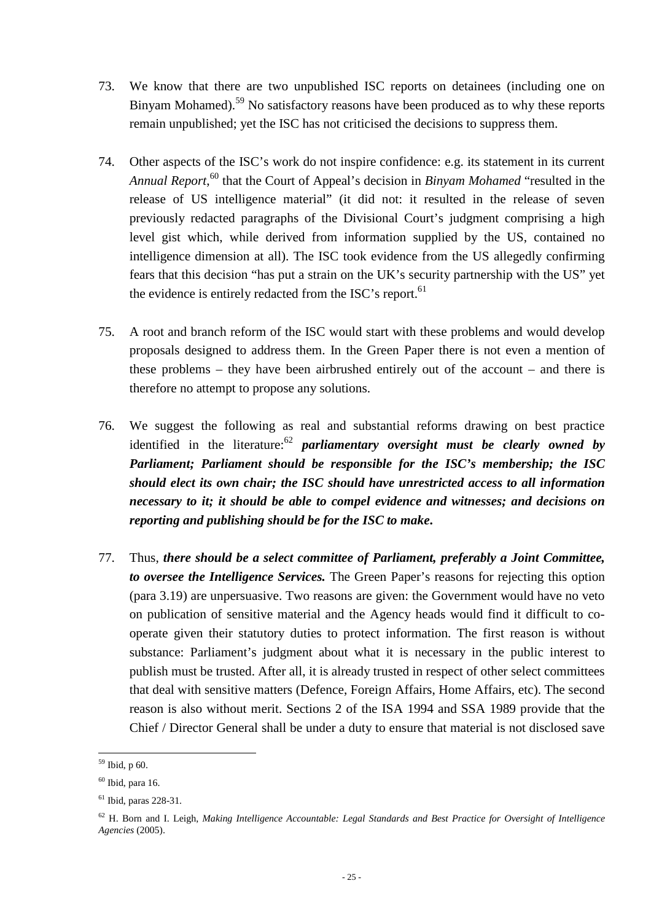- 73. We know that there are two unpublished ISC reports on detainees (including one on Binyam Mohamed).<sup>59</sup> No satisfactory reasons have been produced as to why these reports remain unpublished; yet the ISC has not criticised the decisions to suppress them.
- 74. Other aspects of the ISC's work do not inspire confidence: e.g. its statement in its current Annual Report,<sup>60</sup> that the Court of Appeal's decision in *Binyam Mohamed* "resulted in the release of US intelligence material" (it did not: it resulted in the release of seven previously redacted paragraphs of the Divisional Court's judgment comprising a high level gist which, while derived from information supplied by the US, contained no intelligence dimension at all). The ISC took evidence from the US allegedly confirming fears that this decision "has put a strain on the UK's security partnership with the US" yet the evidence is entirely redacted from the ISC's report.<sup>61</sup>
- 75. A root and branch reform of the ISC would start with these problems and would develop proposals designed to address them. In the Green Paper there is not even a mention of these problems – they have been airbrushed entirely out of the account – and there is therefore no attempt to propose any solutions.
- 76. We suggest the following as real and substantial reforms drawing on best practice identified in the literature:<sup>62</sup> *parliamentary oversight must be clearly owned by Parliament; Parliament should be responsible for the ISC's membership; the ISC should elect its own chair; the ISC should have unrestricted access to all information necessary to it; it should be able to compel evidence and witnesses; and decisions on reporting and publishing should be for the ISC to make***.**
- 77. Thus, *there should be a select committee of Parliament, preferably a Joint Committee, to oversee the Intelligence Services.* The Green Paper's reasons for rejecting this option (para 3.19) are unpersuasive. Two reasons are given: the Government would have no veto on publication of sensitive material and the Agency heads would find it difficult to cooperate given their statutory duties to protect information. The first reason is without substance: Parliament's judgment about what it is necessary in the public interest to publish must be trusted. After all, it is already trusted in respect of other select committees that deal with sensitive matters (Defence, Foreign Affairs, Home Affairs, etc). The second reason is also without merit. Sections 2 of the ISA 1994 and SSA 1989 provide that the Chief / Director General shall be under a duty to ensure that material is not disclosed save

 $\overline{a}$ <sup>59</sup> Ibid, p 60.

 $60$  Ibid, para 16.

 $61$  Ibid, paras 228-31.

<sup>62</sup> H. Born and I. Leigh, *Making Intelligence Accountable: Legal Standards and Best Practice for Oversight of Intelligence Agencies* (2005).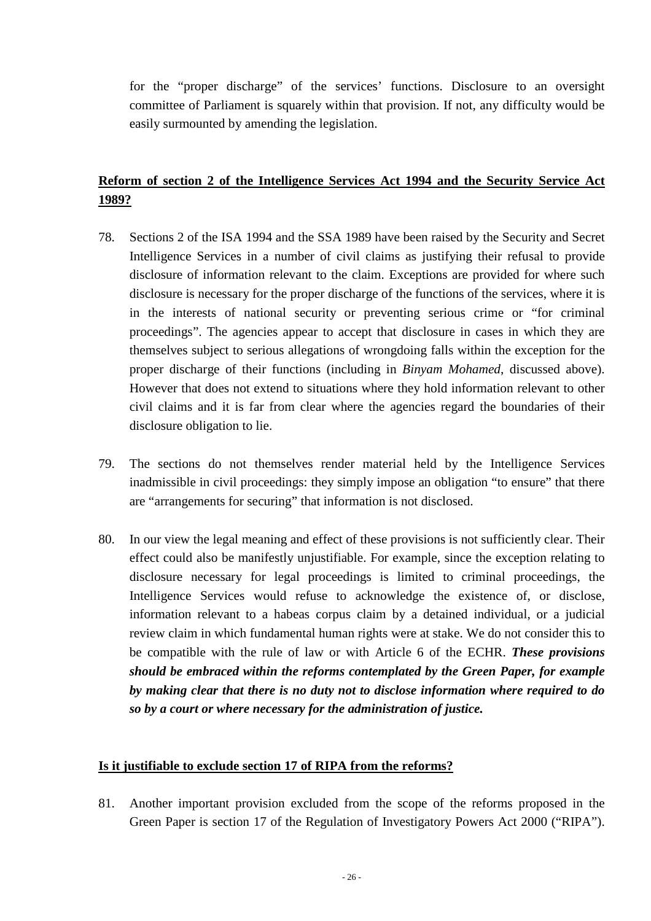for the "proper discharge" of the services' functions. Disclosure to an oversight committee of Parliament is squarely within that provision. If not, any difficulty would be easily surmounted by amending the legislation.

# **Reform of section 2 of the Intelligence Services Act 1994 and the Security Service Act 1989?**

- 78. Sections 2 of the ISA 1994 and the SSA 1989 have been raised by the Security and Secret Intelligence Services in a number of civil claims as justifying their refusal to provide disclosure of information relevant to the claim. Exceptions are provided for where such disclosure is necessary for the proper discharge of the functions of the services, where it is in the interests of national security or preventing serious crime or "for criminal proceedings". The agencies appear to accept that disclosure in cases in which they are themselves subject to serious allegations of wrongdoing falls within the exception for the proper discharge of their functions (including in *Binyam Mohamed*, discussed above). However that does not extend to situations where they hold information relevant to other civil claims and it is far from clear where the agencies regard the boundaries of their disclosure obligation to lie.
- 79. The sections do not themselves render material held by the Intelligence Services inadmissible in civil proceedings: they simply impose an obligation "to ensure" that there are "arrangements for securing" that information is not disclosed.
- 80. In our view the legal meaning and effect of these provisions is not sufficiently clear. Their effect could also be manifestly unjustifiable. For example, since the exception relating to disclosure necessary for legal proceedings is limited to criminal proceedings, the Intelligence Services would refuse to acknowledge the existence of, or disclose, information relevant to a habeas corpus claim by a detained individual, or a judicial review claim in which fundamental human rights were at stake. We do not consider this to be compatible with the rule of law or with Article 6 of the ECHR. *These provisions should be embraced within the reforms contemplated by the Green Paper, for example by making clear that there is no duty not to disclose information where required to do so by a court or where necessary for the administration of justice.*

### **Is it justifiable to exclude section 17 of RIPA from the reforms?**

81. Another important provision excluded from the scope of the reforms proposed in the Green Paper is section 17 of the Regulation of Investigatory Powers Act 2000 ("RIPA").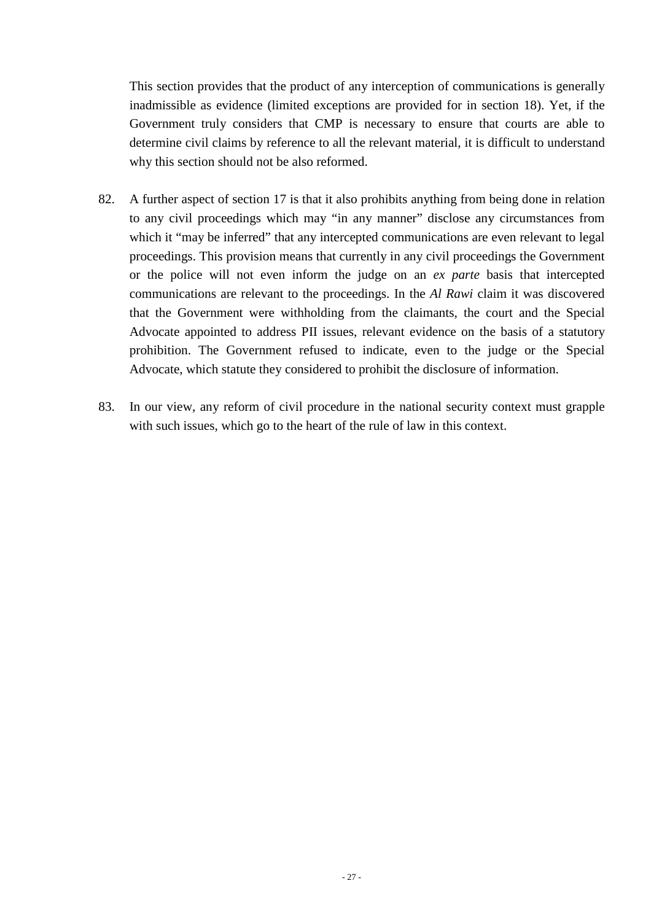This section provides that the product of any interception of communications is generally inadmissible as evidence (limited exceptions are provided for in section 18). Yet, if the Government truly considers that CMP is necessary to ensure that courts are able to determine civil claims by reference to all the relevant material, it is difficult to understand why this section should not be also reformed.

- 82. A further aspect of section 17 is that it also prohibits anything from being done in relation to any civil proceedings which may "in any manner" disclose any circumstances from which it "may be inferred" that any intercepted communications are even relevant to legal proceedings. This provision means that currently in any civil proceedings the Government or the police will not even inform the judge on an *ex parte* basis that intercepted communications are relevant to the proceedings. In the *Al Rawi* claim it was discovered that the Government were withholding from the claimants, the court and the Special Advocate appointed to address PII issues, relevant evidence on the basis of a statutory prohibition. The Government refused to indicate, even to the judge or the Special Advocate, which statute they considered to prohibit the disclosure of information.
- 83. In our view, any reform of civil procedure in the national security context must grapple with such issues, which go to the heart of the rule of law in this context.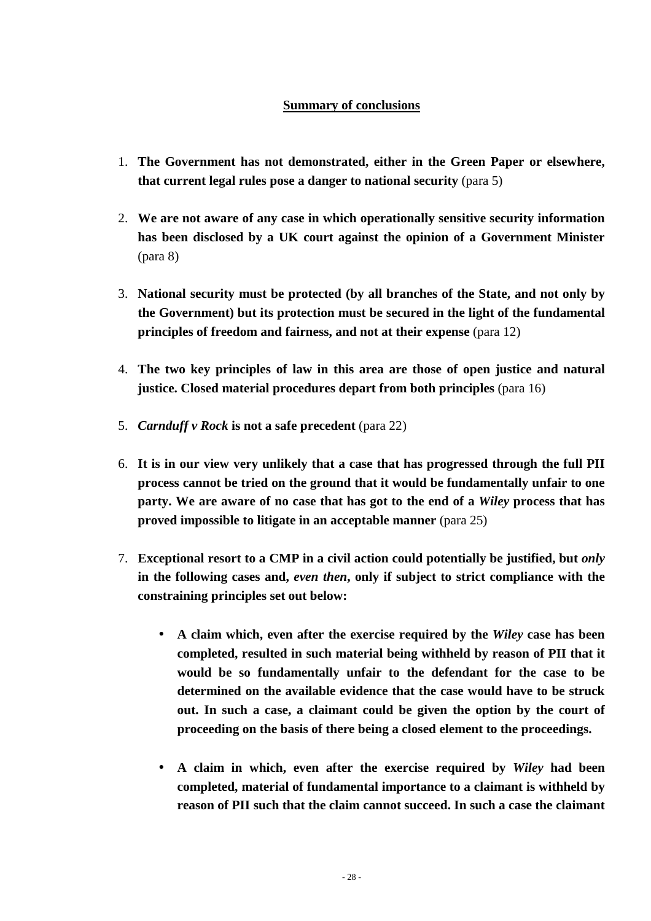# **Summary of conclusions**

- 1. **The Government has not demonstrated, either in the Green Paper or elsewhere, that current legal rules pose a danger to national security** (para 5)
- 2. **We are not aware of any case in which operationally sensitive security information has been disclosed by a UK court against the opinion of a Government Minister**  (para 8)
- 3. **National security must be protected (by all branches of the State, and not only by the Government) but its protection must be secured in the light of the fundamental principles of freedom and fairness, and not at their expense** (para 12)
- 4. **The two key principles of law in this area are those of open justice and natural justice. Closed material procedures depart from both principles** (para 16)
- 5. *Carnduff v Rock* **is not a safe precedent** (para 22)
- 6. **It is in our view very unlikely that a case that has progressed through the full PII process cannot be tried on the ground that it would be fundamentally unfair to one party. We are aware of no case that has got to the end of a** *Wiley* **process that has proved impossible to litigate in an acceptable manner** (para 25)
- 7. **Exceptional resort to a CMP in a civil action could potentially be justified, but** *only* **in the following cases and,** *even then***, only if subject to strict compliance with the constraining principles set out below:** 
	- **A claim which, even after the exercise required by the** *Wiley* **case has been completed, resulted in such material being withheld by reason of PII that it would be so fundamentally unfair to the defendant for the case to be determined on the available evidence that the case would have to be struck out. In such a case, a claimant could be given the option by the court of proceeding on the basis of there being a closed element to the proceedings.**
	- **A claim in which, even after the exercise required by** *Wiley* **had been completed, material of fundamental importance to a claimant is withheld by reason of PII such that the claim cannot succeed. In such a case the claimant**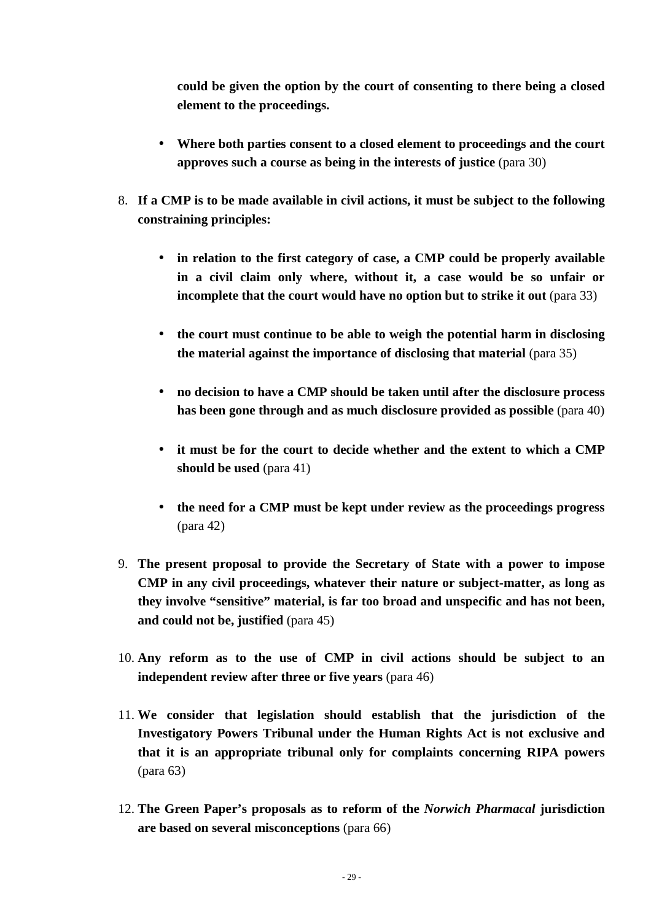**could be given the option by the court of consenting to there being a closed element to the proceedings.** 

- **Where both parties consent to a closed element to proceedings and the court approves such a course as being in the interests of justice (para 30)**
- 8. **If a CMP is to be made available in civil actions, it must be subject to the following constraining principles:** 
	- **in relation to the first category of case, a CMP could be properly available in a civil claim only where, without it, a case would be so unfair or incomplete that the court would have no option but to strike it out (para 33)**
	- **the court must continue to be able to weigh the potential harm in disclosing the material against the importance of disclosing that material** (para 35)
	- **no decision to have a CMP should be taken until after the disclosure process has been gone through and as much disclosure provided as possible** (para 40)
	- **it must be for the court to decide whether and the extent to which a CMP should be used** (para 41)
	- **the need for a CMP must be kept under review as the proceedings progress**  (para 42)
- 9. **The present proposal to provide the Secretary of State with a power to impose CMP in any civil proceedings, whatever their nature or subject-matter, as long as they involve "sensitive" material, is far too broad and unspecific and has not been, and could not be, justified** (para 45)
- 10. **Any reform as to the use of CMP in civil actions should be subject to an independent review after three or five years** (para 46)
- 11. **We consider that legislation should establish that the jurisdiction of the Investigatory Powers Tribunal under the Human Rights Act is not exclusive and that it is an appropriate tribunal only for complaints concerning RIPA powers**  (para 63)
- 12. **The Green Paper's proposals as to reform of the** *Norwich Pharmacal* **jurisdiction are based on several misconceptions** (para 66)